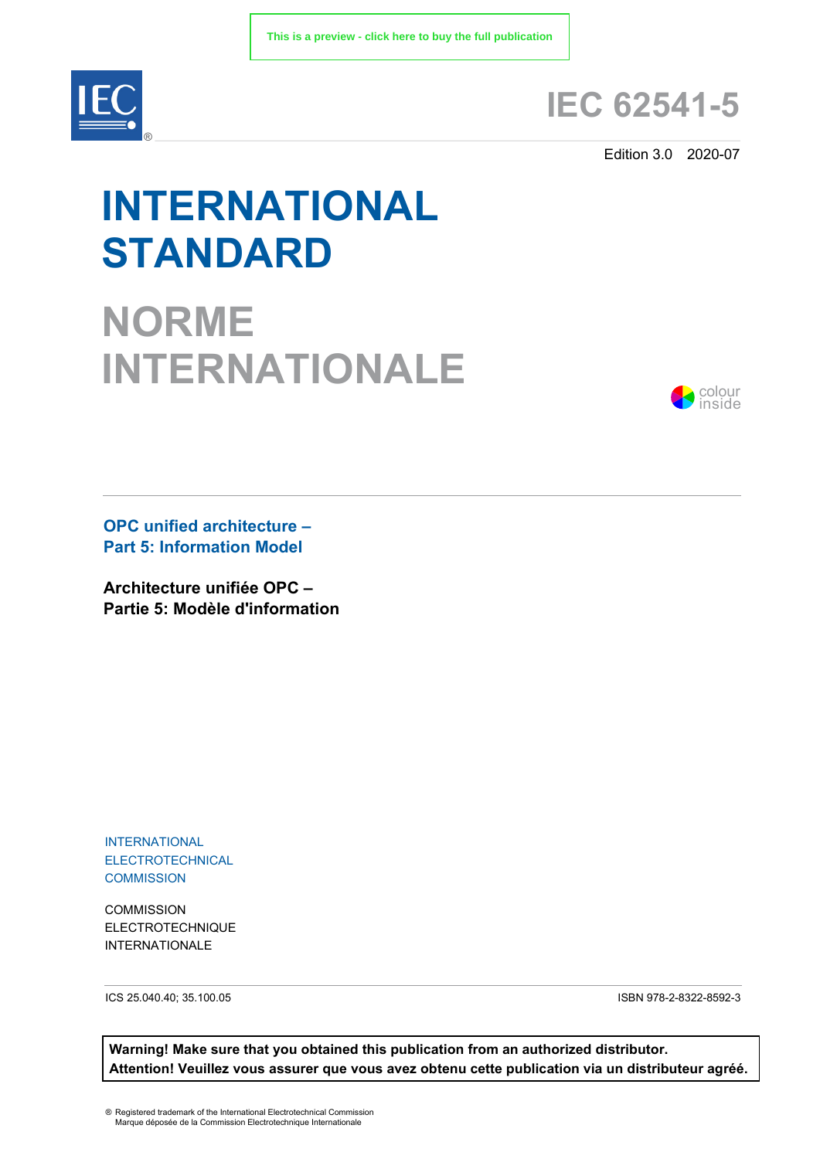

## **IEC 62541-5**

Edition 3.0 2020-07

# **INTERNATIONAL STANDARD**

**NORME INTERNATIONALE**



**OPC unified architecture – Part 5: Information Model** 

**Architecture unifiée OPC – Partie 5: Modèle d'information**

INTERNATIONAL ELECTROTECHNICAL **COMMISSION** 

**COMMISSION** ELECTROTECHNIQUE INTERNATIONALE

ICS 25.040.40; 35.100.05 ISBN 978-2-8322-8592-3

**Warning! Make sure that you obtained this publication from an authorized distributor. Attention! Veuillez vous assurer que vous avez obtenu cette publication via un distributeur agréé.**

® Registered trademark of the International Electrotechnical Commission Marque déposée de la Commission Electrotechnique Internationale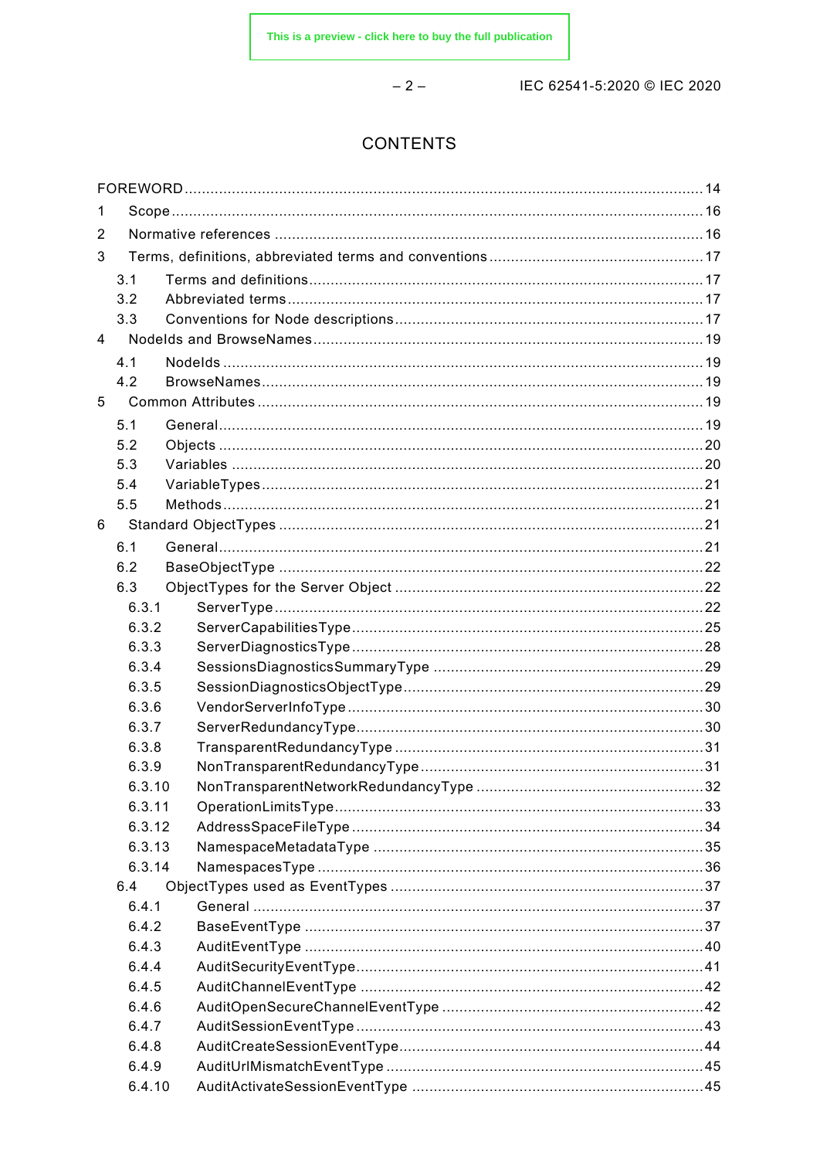$-2-$ 

IEC 62541-5:2020 © IEC 2020

### **CONTENTS**

| 1              |            |  |  |
|----------------|------------|--|--|
| $\overline{2}$ |            |  |  |
| 3              |            |  |  |
|                | 3.1        |  |  |
|                | 3.2        |  |  |
|                | 3.3        |  |  |
| $\overline{4}$ |            |  |  |
|                | 4.1        |  |  |
|                | 4.2        |  |  |
| 5              |            |  |  |
|                |            |  |  |
|                | 5.1        |  |  |
|                | 5.2        |  |  |
|                | 5.3        |  |  |
|                | 5.4<br>5.5 |  |  |
|                |            |  |  |
| 6              |            |  |  |
|                | 6.1        |  |  |
|                | 6.2        |  |  |
|                | 6.3        |  |  |
|                | 6.3.1      |  |  |
|                | 6.3.2      |  |  |
|                | 6.3.3      |  |  |
|                | 6.3.4      |  |  |
|                | 6.3.5      |  |  |
|                | 6.3.6      |  |  |
|                | 6.3.7      |  |  |
|                | 6.3.8      |  |  |
|                | 6.3.9      |  |  |
|                | 6.3.10     |  |  |
|                | 6.3.11     |  |  |
|                | 6.3.12     |  |  |
|                | 6.3.13     |  |  |
|                | 6.3.14     |  |  |
|                | 6.4        |  |  |
|                | 6.4.1      |  |  |
|                | 6.4.2      |  |  |
|                | 6.4.3      |  |  |
|                | 6.4.4      |  |  |
|                | 6.4.5      |  |  |
|                | 6.4.6      |  |  |
|                | 6.4.7      |  |  |
|                | 6.4.8      |  |  |
|                | 6.4.9      |  |  |
|                | 6.4.10     |  |  |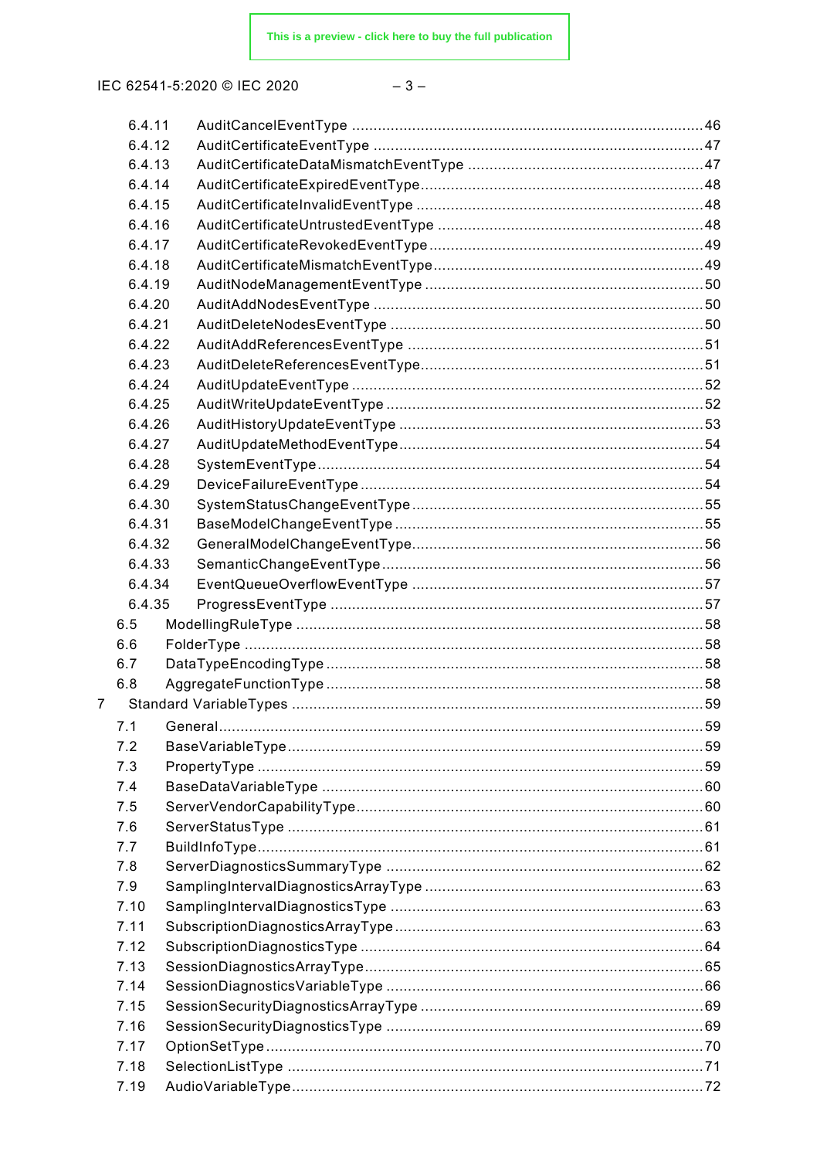$-3-$ 

|                | 6.4.11           |            |    |
|----------------|------------------|------------|----|
|                | 6.4.12           |            |    |
|                | 6.4.13           |            |    |
|                | 6.4.14           |            |    |
|                | 6.4.15           |            |    |
|                | 6.4.16           |            |    |
|                | 6.4.17           |            |    |
|                | 6.4.18           |            |    |
|                | 6.4.19           |            |    |
|                | 6.4.20           |            |    |
|                | 6.4.21           |            |    |
|                | 6.4.22           |            |    |
|                | 6.4.23           |            |    |
|                | 6.4.24           |            |    |
|                | 6.4.25           |            |    |
|                | 6.4.26           |            |    |
|                | 6.4.27           |            |    |
|                | 6.4.28           |            |    |
|                | 6.4.29           |            |    |
|                | 6.4.30           |            |    |
|                | 6.4.31           |            |    |
|                | 6.4.32           |            |    |
|                | 6.4.33           |            |    |
|                | 6.4.34<br>6.4.35 |            |    |
|                | 6.5              |            |    |
|                | 6.6              |            |    |
|                | 6.7              |            |    |
|                | 6.8              |            |    |
| $\overline{7}$ |                  |            |    |
|                |                  | 71 General | 59 |
|                | 7.2              |            |    |
|                | 7.3              |            |    |
|                | 7.4              |            |    |
|                | 7.5              |            |    |
|                | 7.6              |            |    |
|                | 7.7              |            |    |
|                | 7.8              |            |    |
|                | 7.9              |            |    |
|                | 7.10             |            |    |
|                | 7.11             |            |    |
|                | 7.12             |            |    |
|                | 7.13             |            |    |
|                | 7.14             |            |    |
|                | 7.15             |            |    |
|                | 7.16             |            |    |
|                | 7.17             |            |    |
|                | 7.18             |            |    |
|                | 7.19             |            |    |
|                |                  |            |    |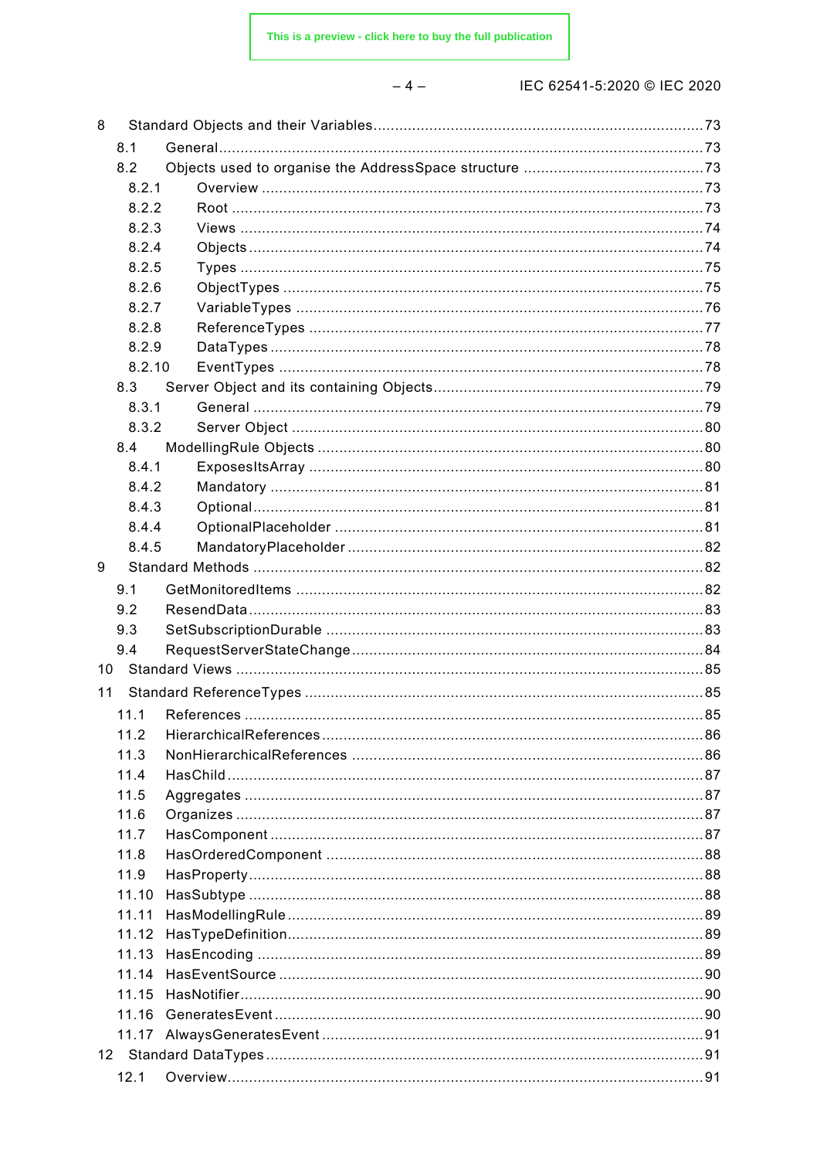$-4-$ 

| 8  |        |  |
|----|--------|--|
|    | 8.1    |  |
|    | 8.2    |  |
|    | 8.2.1  |  |
|    | 8.2.2  |  |
|    | 8.2.3  |  |
|    | 8.2.4  |  |
|    | 8.2.5  |  |
|    | 8.2.6  |  |
|    | 8.2.7  |  |
|    | 8.2.8  |  |
|    | 8.2.9  |  |
|    | 8.2.10 |  |
|    | 8.3    |  |
|    | 8.3.1  |  |
|    | 8.3.2  |  |
|    | 8.4    |  |
|    | 8.4.1  |  |
|    | 8.4.2  |  |
|    | 8.4.3  |  |
|    | 8.4.4  |  |
|    | 8.4.5  |  |
| 9  |        |  |
|    | 9.1    |  |
|    | 9.2    |  |
|    | 9.3    |  |
|    | 9.4    |  |
| 10 |        |  |
| 11 |        |  |
|    | 11.1   |  |
|    | 11.2   |  |
|    | 11.3   |  |
|    | 11.4   |  |
|    | 11.5   |  |
|    | 11.6   |  |
|    | 11.7   |  |
|    | 11.8   |  |
|    | 11.9   |  |
|    | 11.10  |  |
|    | 11.11  |  |
|    | 11.12  |  |
|    | 11.13  |  |
|    | 11.14  |  |
|    | 11.15  |  |
|    |        |  |
|    | 11.17  |  |
|    |        |  |
|    | 12.1   |  |
|    |        |  |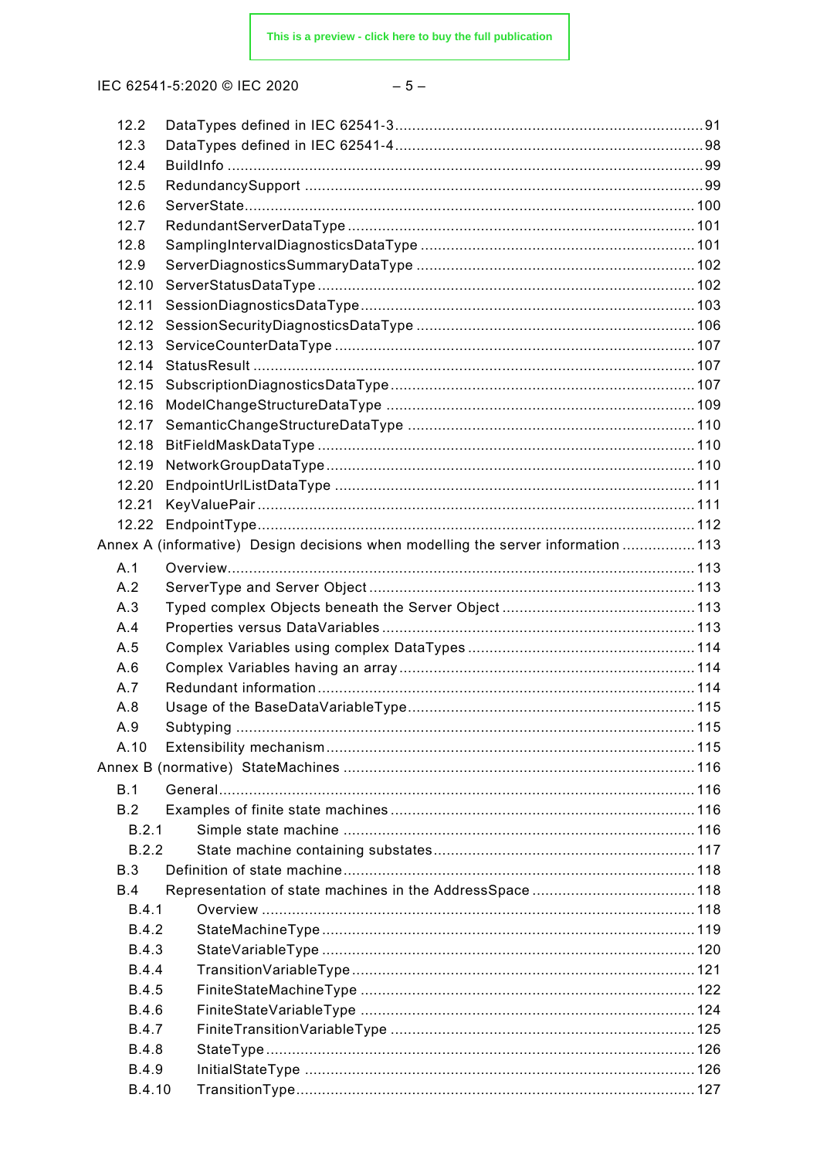$$
-5- \nonumber\\
$$

| 12.2         |                                                                                  |  |
|--------------|----------------------------------------------------------------------------------|--|
| 12.3         |                                                                                  |  |
| 12.4         |                                                                                  |  |
| 12.5         |                                                                                  |  |
| 12.6         |                                                                                  |  |
| 12.7         |                                                                                  |  |
| 12.8         |                                                                                  |  |
| 12.9         |                                                                                  |  |
| 12.10        |                                                                                  |  |
| 12.11        |                                                                                  |  |
| 12.12        |                                                                                  |  |
| 12.13        |                                                                                  |  |
| 12.14        |                                                                                  |  |
| 12.15        |                                                                                  |  |
| 12.16        |                                                                                  |  |
| 12.17        |                                                                                  |  |
| 12.18        |                                                                                  |  |
| 12.19        |                                                                                  |  |
| 12.20        |                                                                                  |  |
| 12.21        |                                                                                  |  |
| 12.22        |                                                                                  |  |
|              | Annex A (informative) Design decisions when modelling the server information 113 |  |
| A.1          |                                                                                  |  |
| A.2          |                                                                                  |  |
| A.3          |                                                                                  |  |
| A.4          |                                                                                  |  |
| A.5          |                                                                                  |  |
| A.6          |                                                                                  |  |
| A.7          |                                                                                  |  |
| A.8          |                                                                                  |  |
| A.9          |                                                                                  |  |
| A.10         |                                                                                  |  |
|              |                                                                                  |  |
|              | Annex B (normative) StateMachines ………………………………………………………………………………116              |  |
| B.1          |                                                                                  |  |
| B.2          |                                                                                  |  |
| B.2.1        |                                                                                  |  |
| B.2.2        |                                                                                  |  |
| B.3          |                                                                                  |  |
| B.4          |                                                                                  |  |
| B.4.1        |                                                                                  |  |
| <b>B.4.2</b> |                                                                                  |  |
| <b>B.4.3</b> |                                                                                  |  |
| <b>B.4.4</b> |                                                                                  |  |
| <b>B.4.5</b> |                                                                                  |  |
| <b>B.4.6</b> |                                                                                  |  |
| <b>B.4.7</b> |                                                                                  |  |
| <b>B.4.8</b> |                                                                                  |  |
| <b>B.4.9</b> |                                                                                  |  |
| B.4.10       |                                                                                  |  |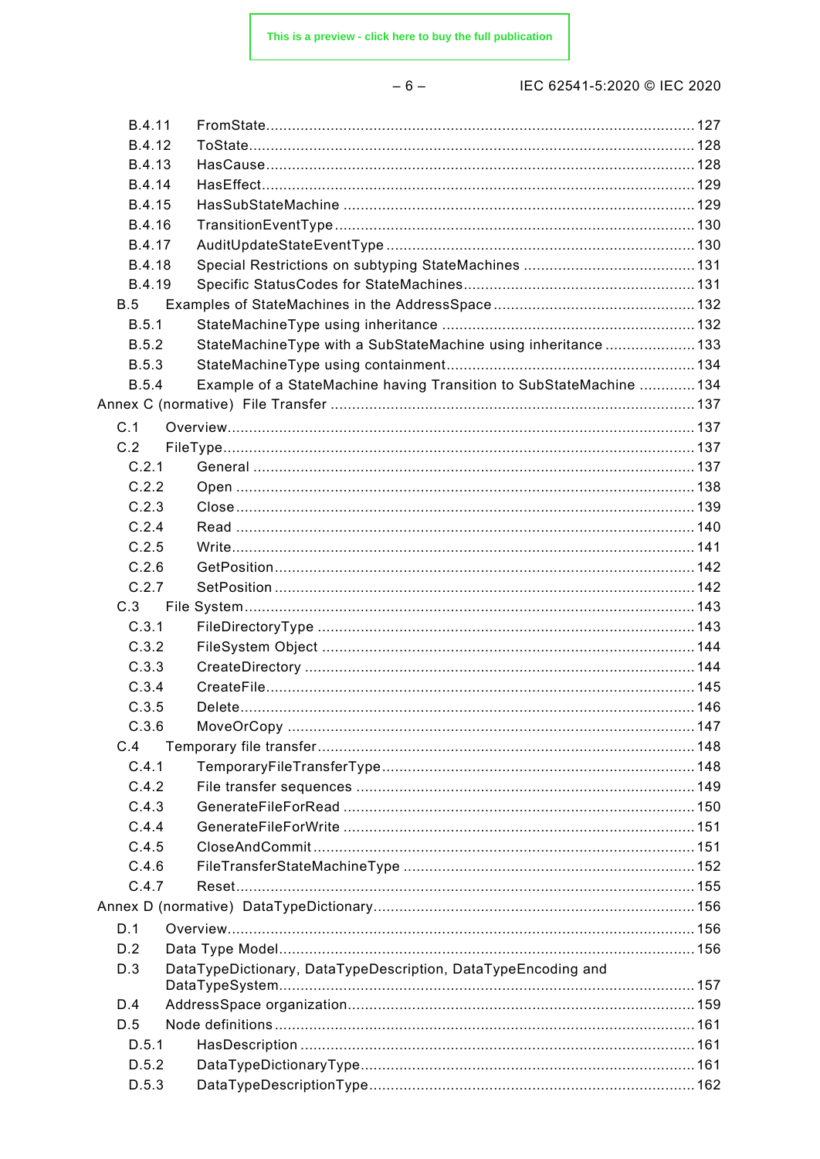| ×<br>۰. |  |
|---------|--|
|---------|--|

| B.4.11        |                                                                     |  |
|---------------|---------------------------------------------------------------------|--|
| B.4.12        |                                                                     |  |
| <b>B.4.13</b> |                                                                     |  |
| B.4.14        |                                                                     |  |
| <b>B.4.15</b> |                                                                     |  |
| B.4.16        |                                                                     |  |
| B.4.17        |                                                                     |  |
| <b>B.4.18</b> |                                                                     |  |
| B.4.19        |                                                                     |  |
| B.5           |                                                                     |  |
| B.5.1         |                                                                     |  |
| <b>B.5.2</b>  | StateMachineType with a SubStateMachine using inheritance133        |  |
| <b>B.5.3</b>  |                                                                     |  |
| <b>B.5.4</b>  | Example of a StateMachine having Transition to SubStateMachine  134 |  |
|               |                                                                     |  |
| C.1           |                                                                     |  |
| C.2           |                                                                     |  |
| C.2.1         |                                                                     |  |
| C.2.2         |                                                                     |  |
| C.2.3         |                                                                     |  |
| C.2.4         |                                                                     |  |
| C.2.5         |                                                                     |  |
| C.2.6         |                                                                     |  |
| C.2.7         |                                                                     |  |
| C.3           |                                                                     |  |
|               |                                                                     |  |
| C.3.1         |                                                                     |  |
| C.3.2         |                                                                     |  |
| C.3.3         |                                                                     |  |
| C.3.4         |                                                                     |  |
| C.3.5         |                                                                     |  |
| C.3.6         |                                                                     |  |
| C.4           |                                                                     |  |
| C.4.1         |                                                                     |  |
| C.4.2         |                                                                     |  |
| C.4.3         |                                                                     |  |
| C.4.4         |                                                                     |  |
| C.4.5         |                                                                     |  |
| C.4.6         |                                                                     |  |
| C.4.7         |                                                                     |  |
|               |                                                                     |  |
| D.1           |                                                                     |  |
| D.2           |                                                                     |  |
| D.3           | DataTypeDictionary, DataTypeDescription, DataTypeEncoding and       |  |
|               |                                                                     |  |
| D.4           |                                                                     |  |
| D.5           |                                                                     |  |
| D.5.1         |                                                                     |  |
| D.5.2         |                                                                     |  |
| D.5.3         |                                                                     |  |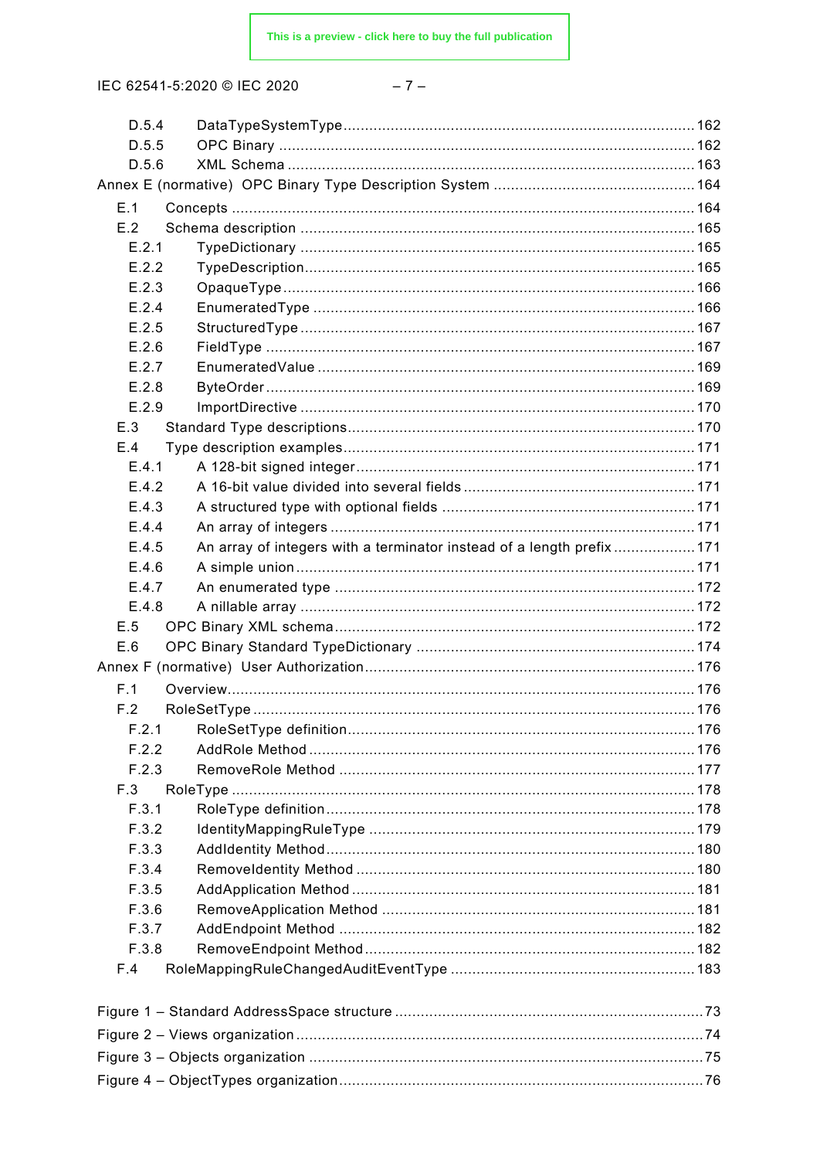$$
-7-
$$

| D.5.4 |                                                                        |  |
|-------|------------------------------------------------------------------------|--|
| D.5.5 |                                                                        |  |
| D.5.6 |                                                                        |  |
|       |                                                                        |  |
| E.1   |                                                                        |  |
| E.2   |                                                                        |  |
| E.2.1 |                                                                        |  |
| E.2.2 |                                                                        |  |
| E.2.3 |                                                                        |  |
| E.2.4 |                                                                        |  |
| E.2.5 |                                                                        |  |
| E.2.6 |                                                                        |  |
| E.2.7 |                                                                        |  |
| E.2.8 |                                                                        |  |
| E.2.9 |                                                                        |  |
| E.3   |                                                                        |  |
| E.4   |                                                                        |  |
| E.4.1 |                                                                        |  |
| E.4.2 |                                                                        |  |
| E.4.3 |                                                                        |  |
| E.4.4 |                                                                        |  |
| E.4.5 | An array of integers with a terminator instead of a length prefix  171 |  |
| E.4.6 |                                                                        |  |
| E.4.7 |                                                                        |  |
| E.4.8 |                                                                        |  |
| E.5   |                                                                        |  |
| E.6   |                                                                        |  |
|       |                                                                        |  |
| F.1   |                                                                        |  |
| F.2   |                                                                        |  |
| F.2.1 |                                                                        |  |
| F.2.2 |                                                                        |  |
| F.2.3 |                                                                        |  |
| F.3   |                                                                        |  |
| F.3.1 |                                                                        |  |
| F.3.2 |                                                                        |  |
| F.3.3 |                                                                        |  |
| F.3.4 |                                                                        |  |
| F.3.5 |                                                                        |  |
| F.3.6 |                                                                        |  |
| F.3.7 |                                                                        |  |
| F.3.8 |                                                                        |  |
| F.4   |                                                                        |  |
|       |                                                                        |  |
|       |                                                                        |  |
|       |                                                                        |  |
|       |                                                                        |  |
|       |                                                                        |  |
|       |                                                                        |  |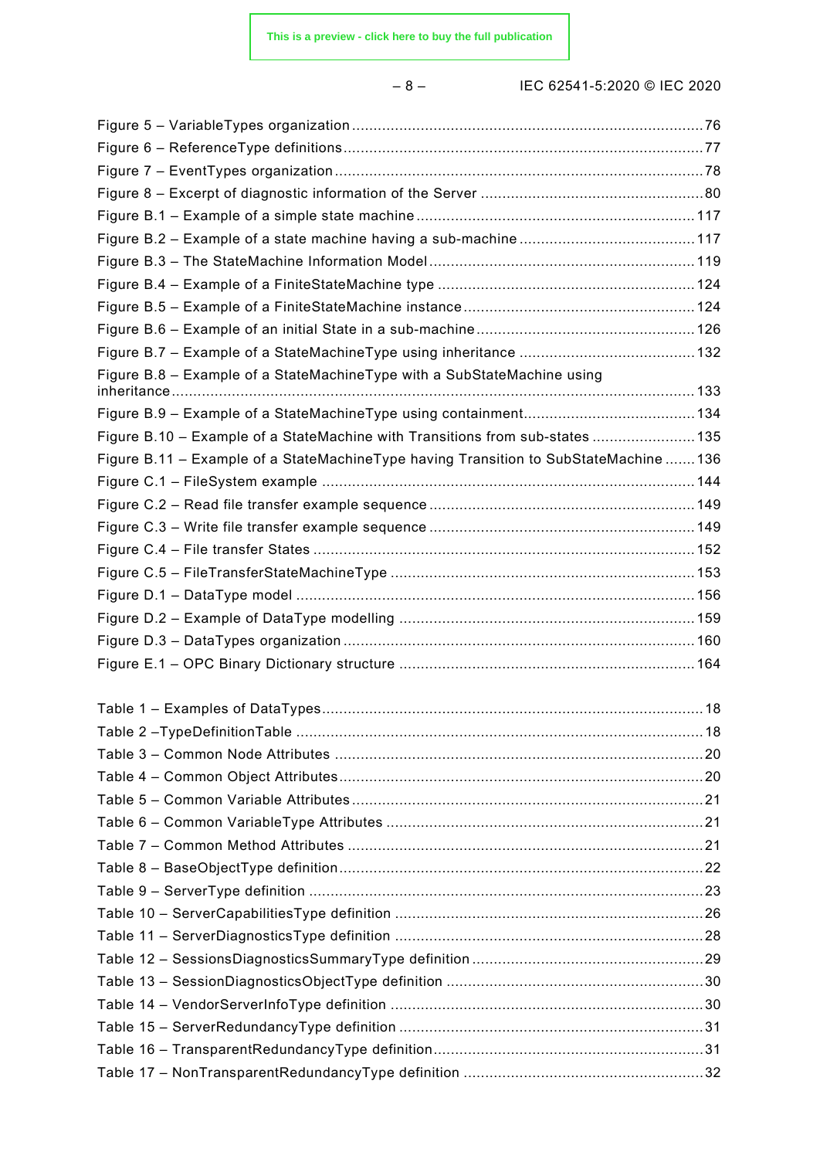– 8 – IEC 62541-5:2020 © IEC 2020

| Figure B.8 - Example of a StateMachineType with a SubStateMachine using               |    |
|---------------------------------------------------------------------------------------|----|
|                                                                                       |    |
| Figure B.10 - Example of a StateMachine with Transitions from sub-states 135          |    |
| Figure B.11 - Example of a StateMachineType having Transition to SubStateMachine  136 |    |
|                                                                                       |    |
|                                                                                       |    |
|                                                                                       |    |
|                                                                                       |    |
|                                                                                       |    |
|                                                                                       |    |
|                                                                                       |    |
|                                                                                       |    |
|                                                                                       |    |
|                                                                                       |    |
|                                                                                       |    |
|                                                                                       | 18 |
|                                                                                       |    |
|                                                                                       |    |
|                                                                                       |    |
|                                                                                       |    |
|                                                                                       |    |
|                                                                                       |    |
|                                                                                       |    |
|                                                                                       |    |
|                                                                                       |    |
|                                                                                       |    |
|                                                                                       |    |
|                                                                                       |    |
|                                                                                       |    |
|                                                                                       |    |
|                                                                                       |    |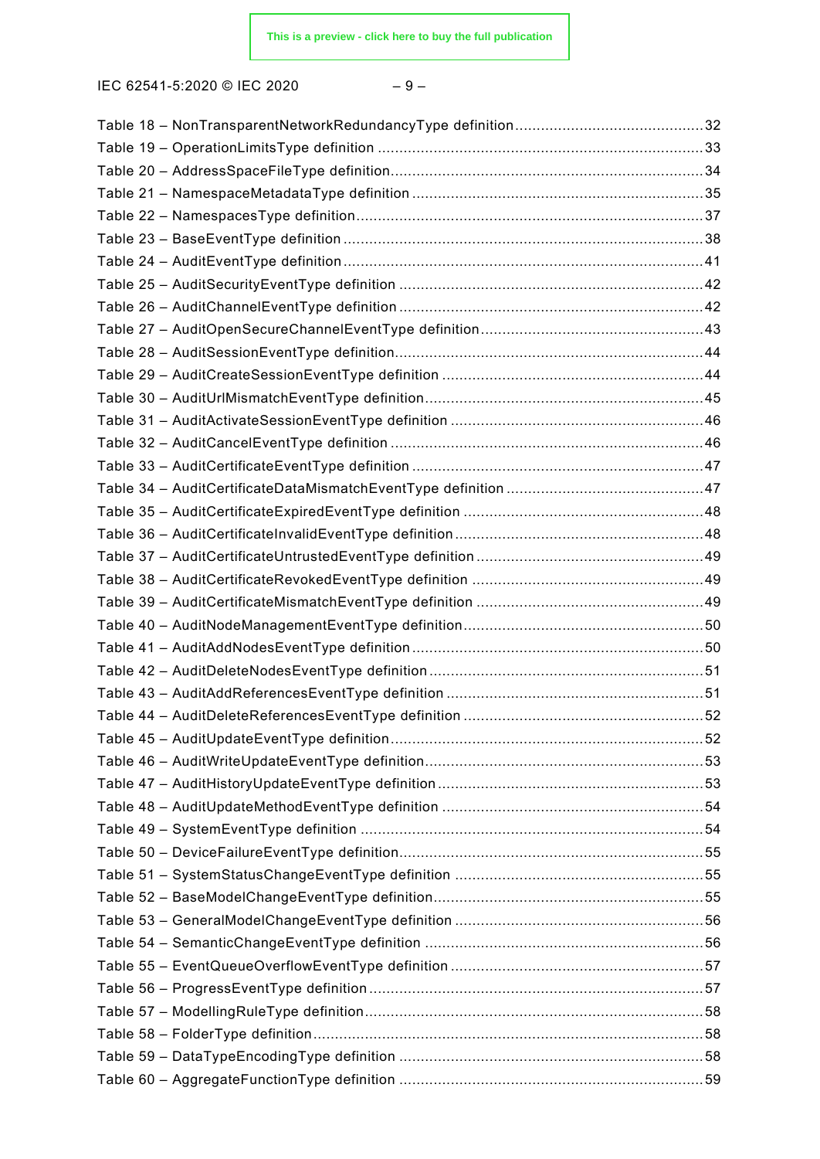| I |  |
|---|--|
|---|--|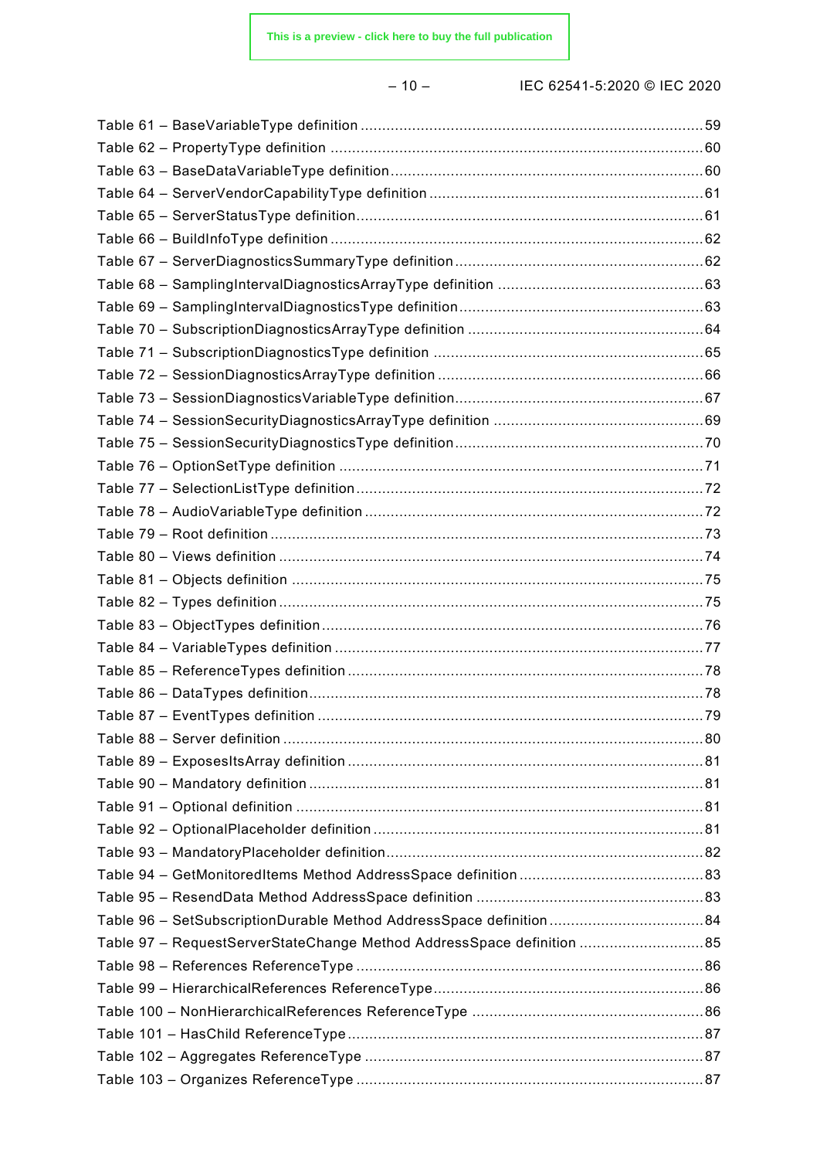– 10 – IEC 62541-5:2020 © IEC 2020

| Table 97 - RequestServerStateChange Method AddressSpace definition 85 |  |
|-----------------------------------------------------------------------|--|
|                                                                       |  |
|                                                                       |  |
|                                                                       |  |
|                                                                       |  |
|                                                                       |  |
|                                                                       |  |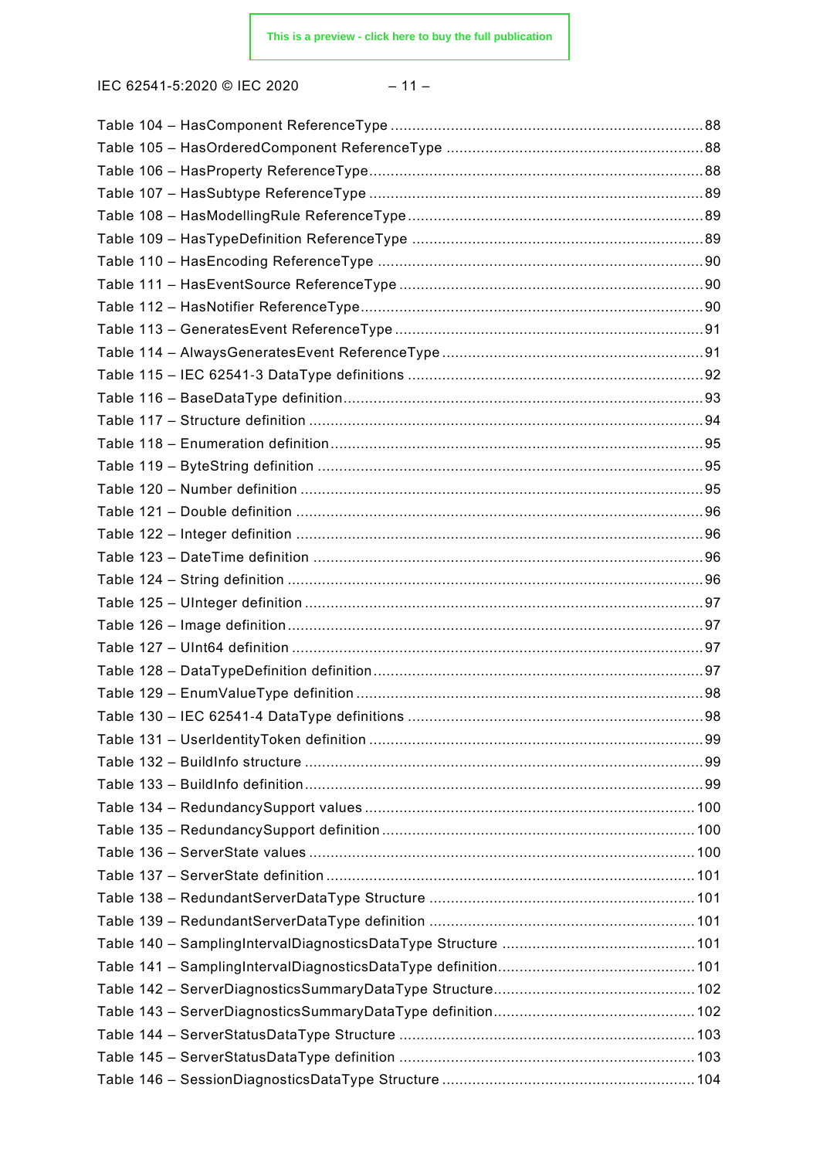$$
-11 -
$$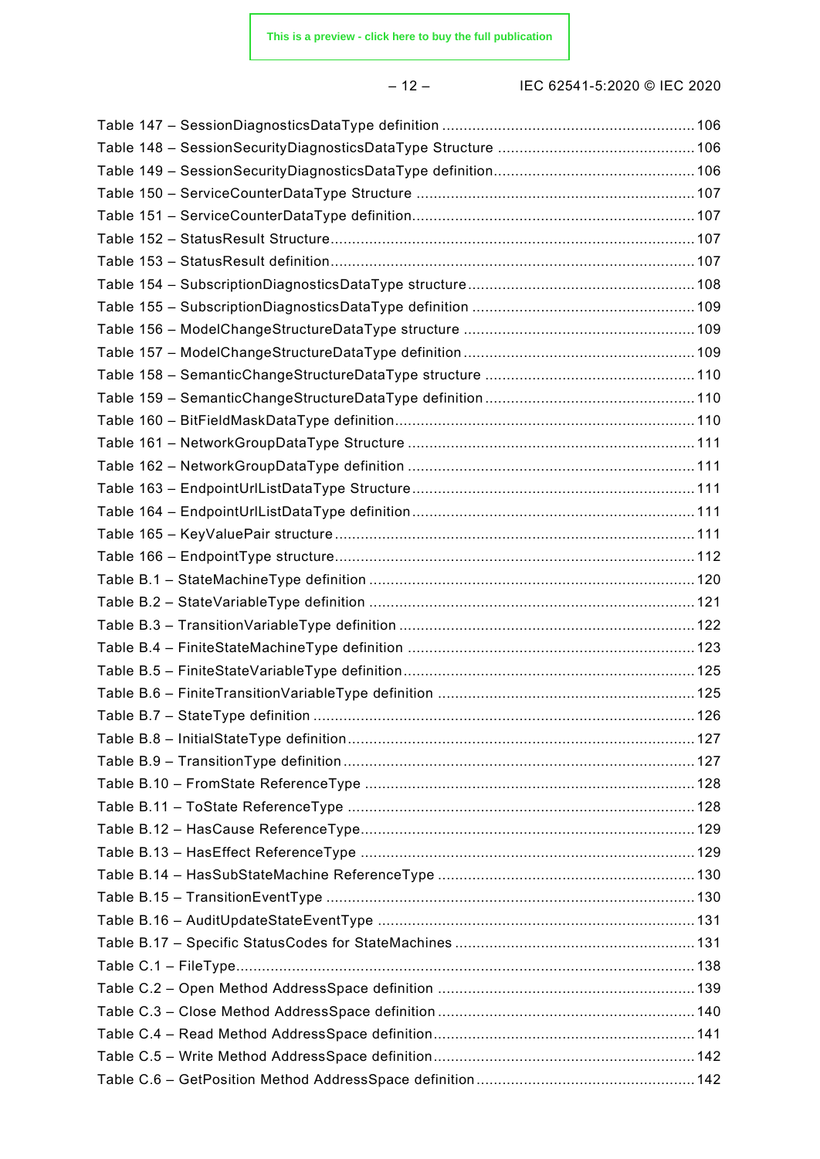– 12 – IEC 62541-5:2020 © IEC 2020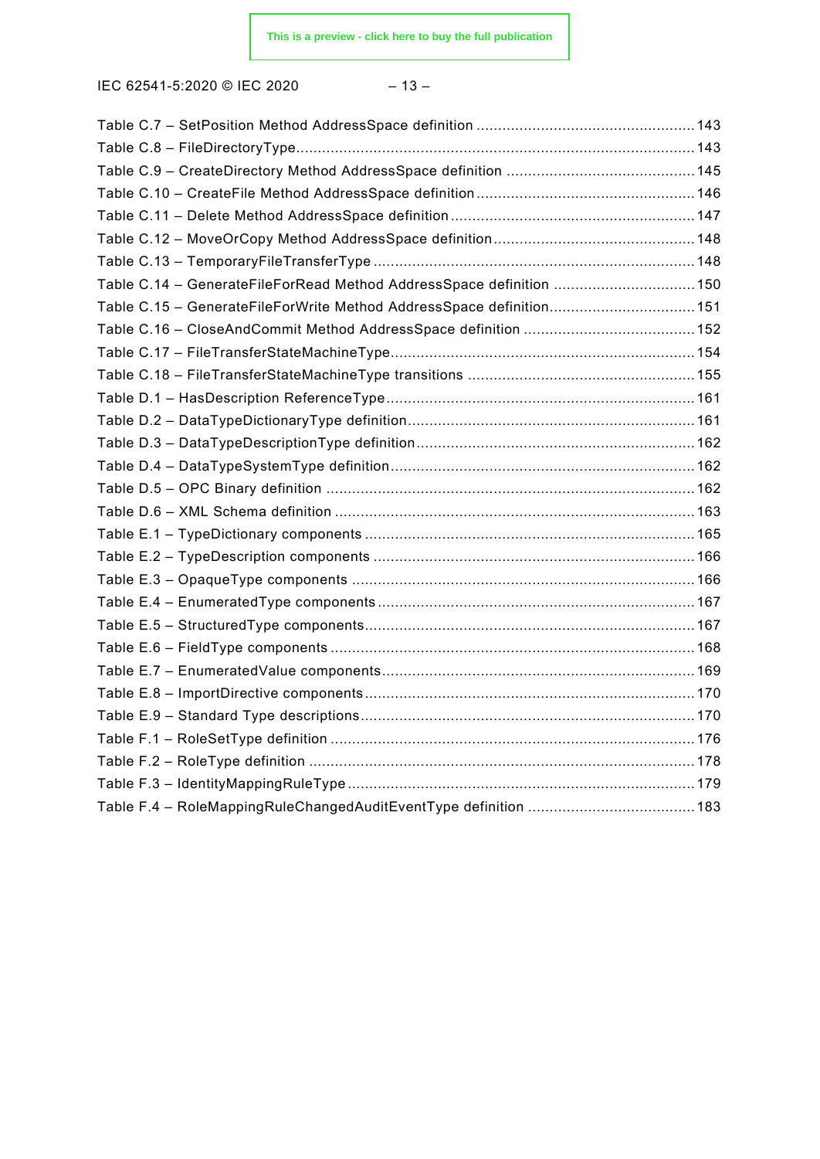IEC 62541-5:2020 © IEC 2020 – 13 –

| Table C.14 - GenerateFileForRead Method AddressSpace definition  150 |  |
|----------------------------------------------------------------------|--|
|                                                                      |  |
|                                                                      |  |
|                                                                      |  |
|                                                                      |  |
|                                                                      |  |
|                                                                      |  |
|                                                                      |  |
|                                                                      |  |
|                                                                      |  |
|                                                                      |  |
|                                                                      |  |
|                                                                      |  |
|                                                                      |  |
|                                                                      |  |
|                                                                      |  |
|                                                                      |  |
|                                                                      |  |
|                                                                      |  |
|                                                                      |  |
|                                                                      |  |
|                                                                      |  |
|                                                                      |  |
|                                                                      |  |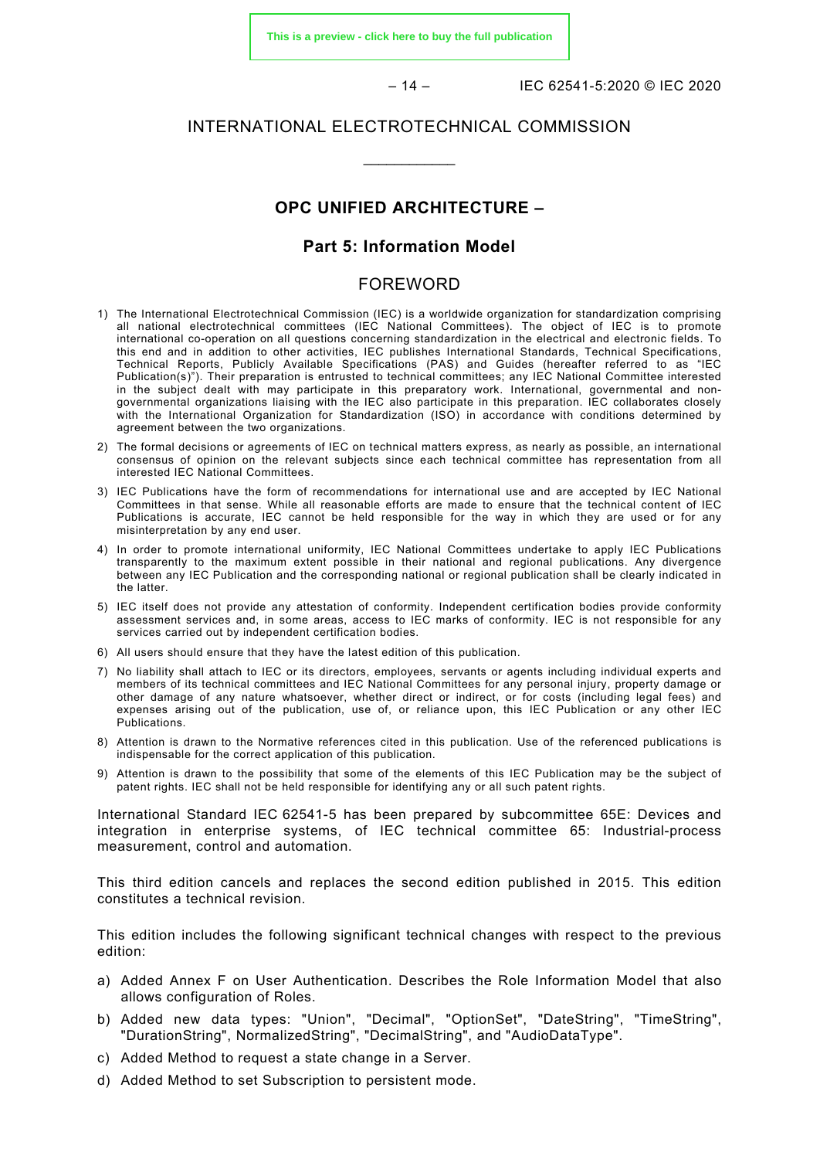**[This is a preview - click here to buy the full publication](https://webstore.iec.ch/publication/61114&preview)**

– 14 – IEC 62541-5:2020 © IEC 2020

#### INTERNATIONAL ELECTROTECHNICAL COMMISSION

\_\_\_\_\_\_\_\_\_\_\_\_

#### **OPC UNIFIED ARCHITECTURE –**

#### **Part 5: Information Model**

#### FOREWORD

- <span id="page-13-0"></span>1) The International Electrotechnical Commission (IEC) is a worldwide organization for standardization comprising all national electrotechnical committees (IEC National Committees). The object of IEC is to promote international co-operation on all questions concerning standardization in the electrical and electronic fields. To this end and in addition to other activities, IEC publishes International Standards, Technical Specifications, Technical Reports, Publicly Available Specifications (PAS) and Guides (hereafter referred to as "IEC Publication(s)"). Their preparation is entrusted to technical committees; any IEC National Committee interested in the subject dealt with may participate in this preparatory work. International, governmental and nongovernmental organizations liaising with the IEC also participate in this preparation. IEC collaborates closely with the International Organization for Standardization (ISO) in accordance with conditions determined by agreement between the two organizations.
- 2) The formal decisions or agreements of IEC on technical matters express, as nearly as possible, an international consensus of opinion on the relevant subjects since each technical committee has representation from all interested IEC National Committees.
- 3) IEC Publications have the form of recommendations for international use and are accepted by IEC National Committees in that sense. While all reasonable efforts are made to ensure that the technical content of IEC Publications is accurate, IEC cannot be held responsible for the way in which they are used or for any misinterpretation by any end user.
- 4) In order to promote international uniformity, IEC National Committees undertake to apply IEC Publications transparently to the maximum extent possible in their national and regional publications. Any divergence between any IEC Publication and the corresponding national or regional publication shall be clearly indicated in the latter.
- 5) IEC itself does not provide any attestation of conformity. Independent certification bodies provide conformity assessment services and, in some areas, access to IEC marks of conformity. IEC is not responsible for any services carried out by independent certification bodies.
- 6) All users should ensure that they have the latest edition of this publication.
- 7) No liability shall attach to IEC or its directors, employees, servants or agents including individual experts and members of its technical committees and IEC National Committees for any personal injury, property damage or other damage of any nature whatsoever, whether direct or indirect, or for costs (including legal fees) and expenses arising out of the publication, use of, or reliance upon, this IEC Publication or any other IEC Publications.
- 8) Attention is drawn to the Normative references cited in this publication. Use of the referenced publications is indispensable for the correct application of this publication.
- 9) Attention is drawn to the possibility that some of the elements of this IEC Publication may be the subject of patent rights. IEC shall not be held responsible for identifying any or all such patent rights.

International Standard IEC 62541-5 has been prepared by subcommittee 65E: Devices and integration in enterprise systems, of IEC technical committee 65: Industrial-process measurement, control and automation.

This third edition cancels and replaces the second edition published in 2015. This edition constitutes a technical revision.

This edition includes the following significant technical changes with respect to the previous edition:

- a) Added Annex F on User Authentication. Describes the Role Information Model that also allows configuration of Roles.
- b) Added new data types: "Union", "Decimal", "OptionSet", "DateString", "TimeString", "DurationString", NormalizedString", "DecimalString", and "AudioDataType".
- c) Added Method to request a state change in a Server.
- d) Added Method to set Subscription to persistent mode.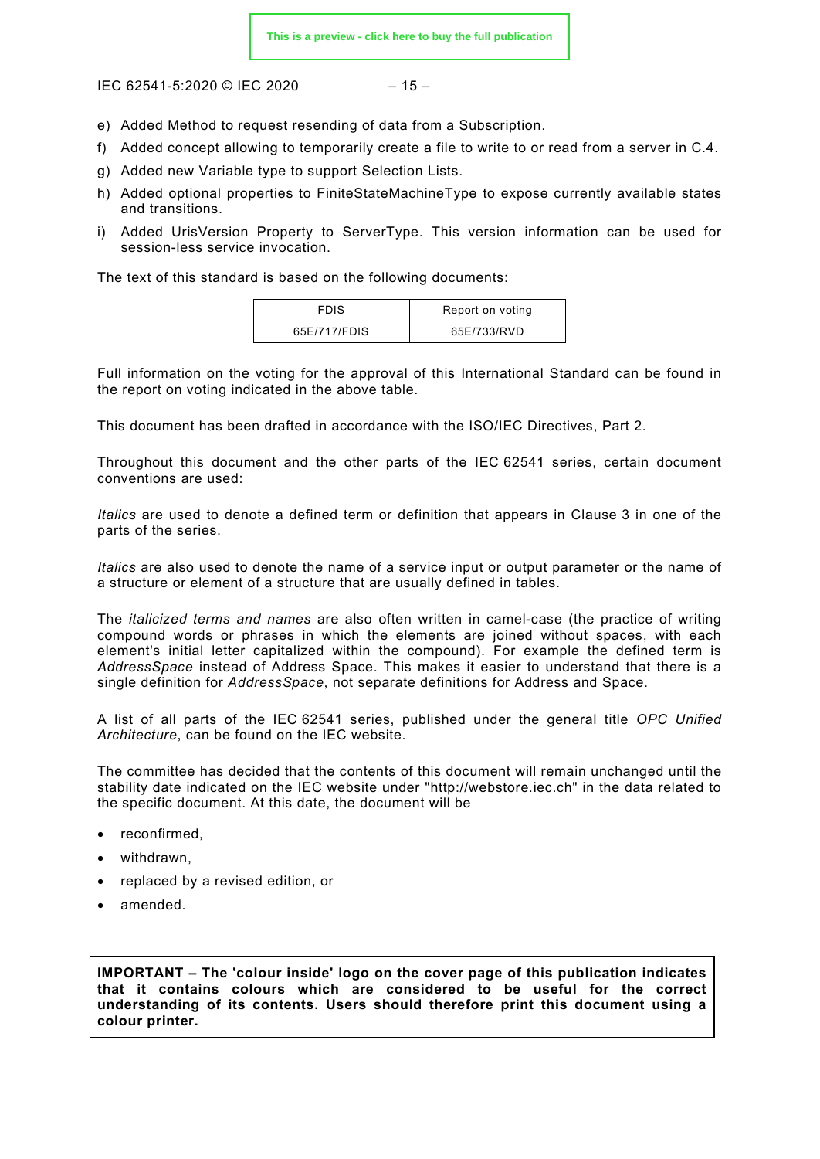$$
-15-
$$

- e) Added Method to request resending of data from a Subscription.
- f) Added concept allowing to temporarily create a file to write to or read from a server in C.4.
- g) Added new Variable type to support Selection Lists.
- h) Added optional properties to FiniteStateMachineType to expose currently available states and transitions.
- i) Added UrisVersion Property to ServerType. This version information can be used for session-less service invocation.

The text of this standard is based on the following documents:

| <b>FDIS</b>  | Report on voting |
|--------------|------------------|
| 65E/717/FDIS | 65E/733/RVD      |

Full information on the voting for the approval of this International Standard can be found in the report on voting indicated in the above table.

This document has been drafted in accordance with the ISO/IEC Directives, Part 2.

Throughout this document and the other parts of the IEC 62541 series, certain document conventions are used:

*Italics* are used to denote a defined term or definition that appears in Clause 3 in one of the parts of the series.

*Italics* are also used to denote the name of a service input or output parameter or the name of a structure or element of a structure that are usually defined in tables.

The *italicized terms and names* are also often written in camel-case (the practice of writing compound words or phrases in which the elements are joined without spaces, with each element's initial letter capitalized within the compound). For example the defined term is *AddressSpace* instead of Address Space. This makes it easier to understand that there is a single definition for *AddressSpace*, not separate definitions for Address and Space.

A list of all parts of the IEC 62541 series, published under the general title *OPC Unified Architecture*, can be found on the IEC website.

The committee has decided that the contents of this document will remain unchanged until the stability date indicated on the IEC website under "http://webstore.iec.ch" in the data related to the specific document. At this date, the document will be

- reconfirmed,
- withdrawn,
- replaced by a revised edition, or
- amended.

**IMPORTANT – The 'colour inside' logo on the cover page of this publication indicates that it contains colours which are considered to be useful for the correct understanding of its contents. Users should therefore print this document using a colour printer.**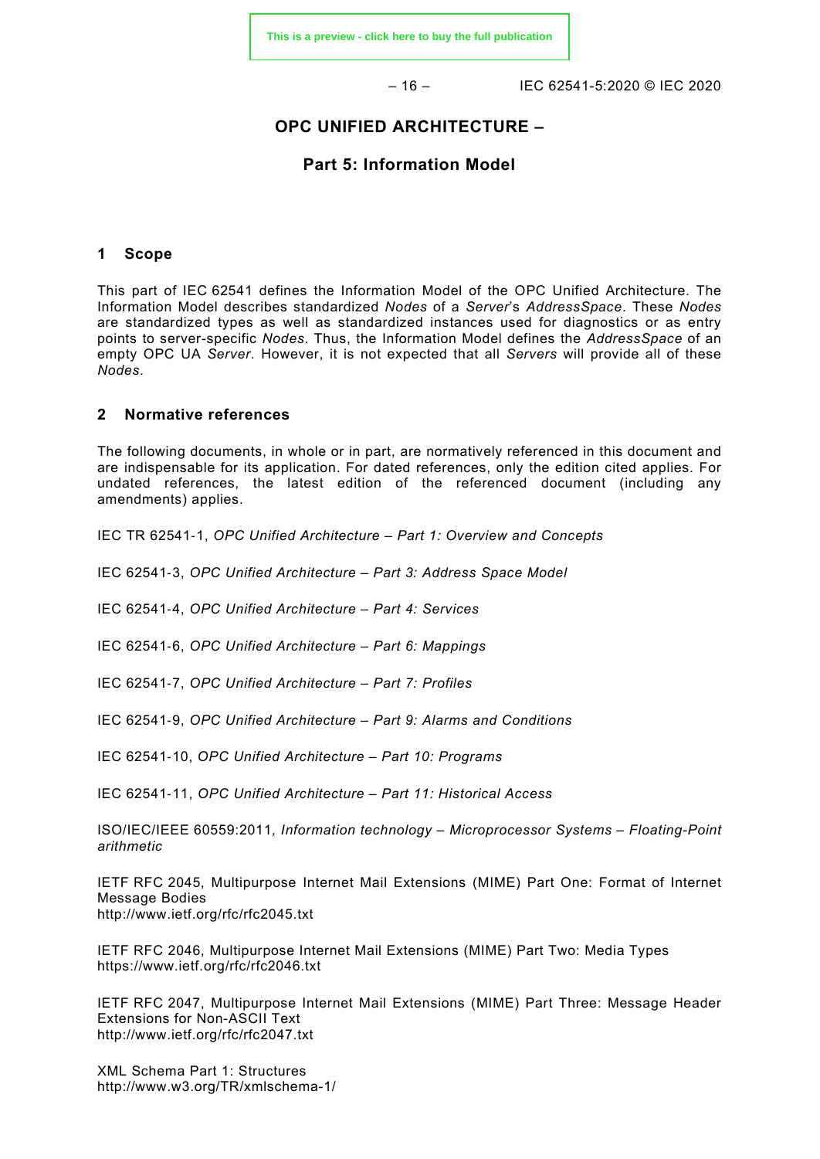$-16 - 16$  IFC 62541-5:2020 © IFC 2020

#### **OPC UNIFIED ARCHITECTURE –**

#### **Part 5: Information Model**

#### <span id="page-15-0"></span>**1 Scope**

This part of IEC 62541 defines the Information Model of the OPC Unified Architecture. The Information Model describes standardized *Nodes* of a *Server*'s *AddressSpace*. These *Nodes* are standardized types as well as standardized instances used for diagnostics or as entry points to server-specific *Nodes*. Thus, the Information Model defines the *AddressSpace* of an empty OPC UA *Server*. However, it is not expected that all *Servers* will provide all of these *Nodes*.

#### <span id="page-15-1"></span>**2 Normative references**

The following documents, in whole or in part, are normatively referenced in this document and are indispensable for its application. For dated references, only the edition cited applies. For undated references, the latest edition of the referenced document (including any amendments) applies.

<span id="page-15-2"></span>IEC TR 62541‑1, *OPC Unified Architecture – Part 1: Overview and Concepts*

<span id="page-15-3"></span>IEC 62541‑3, *OPC Unified Architecture – Part 3: Address Space Model*

IEC 62541‑4, *OPC Unified Architecture – Part 4: Services*

IEC 62541‑6, *OPC Unified Architecture – Part 6: Mappings*

IEC 62541‑7, *OPC Unified Architecture – Part 7: Profiles*

IEC 62541‑9, *OPC Unified Architecture – Part 9: Alarms and Conditions*

IEC 62541‑10, *OPC Unified Architecture – Part 10: Programs*

IEC 62541‑11, *OPC Unified Architecture – Part 11: Historical Access*

ISO/IEC/IEEE 60559:2011*, Information technology – Microprocessor Systems – Floating-Point arithmetic*

IETF RFC 2045, Multipurpose Internet Mail Extensions (MIME) Part One: Format of Internet Message Bodies <http://www.ietf.org/rfc/rfc2045.txt>

IETF RFC 2046, Multipurpose Internet Mail Extensions (MIME) Part Two: Media Types <https://www.ietf.org/rfc/rfc2046.txt>

IETF RFC 2047, Multipurpose Internet Mail Extensions (MIME) Part Three: Message Header Extensions for Non-ASCII Text <http://www.ietf.org/rfc/rfc2047.txt>

XML Schema Part 1: Structures <http://www.w3.org/TR/xmlschema-1/>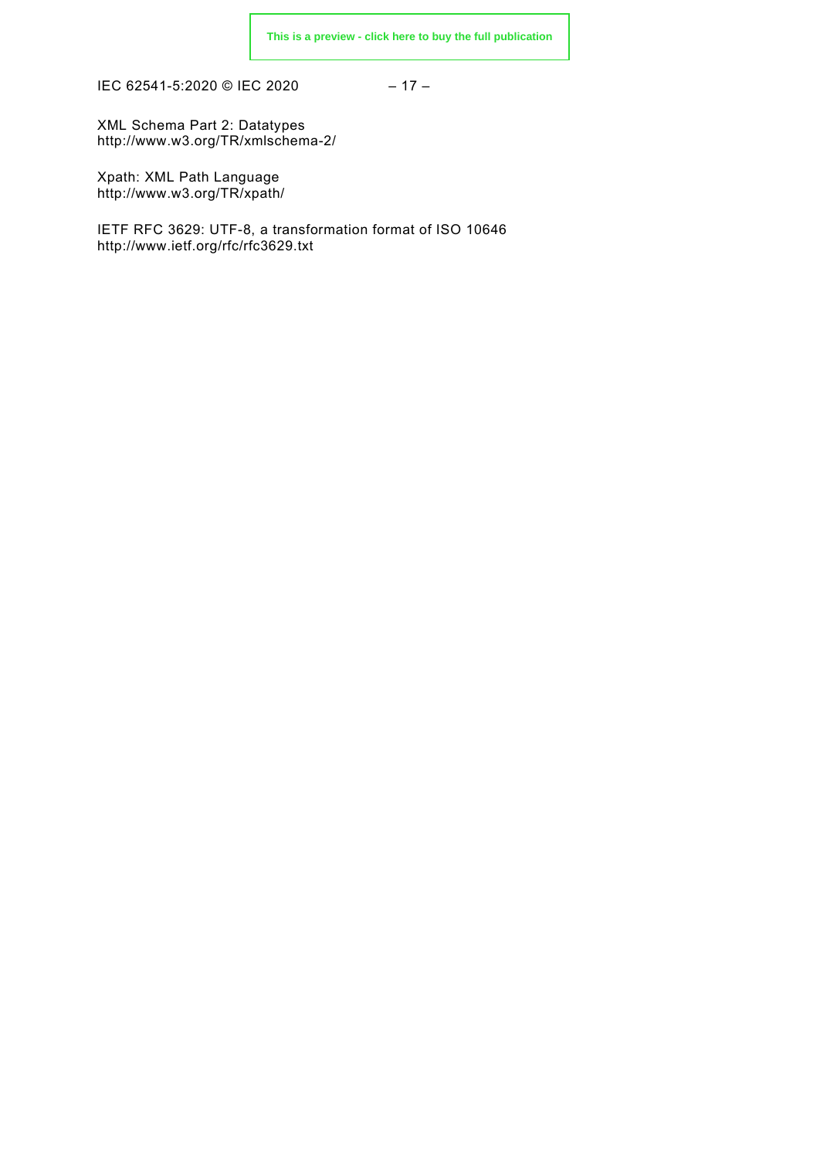IEC 62541-5:2020 © IEC 2020 – 17 –

XML Schema Part 2: Datatypes <http://www.w3.org/TR/xmlschema-2/>

Xpath: XML Path Language <http://www.w3.org/TR/xpath/>

<span id="page-16-3"></span><span id="page-16-2"></span><span id="page-16-1"></span><span id="page-16-0"></span>IETF RFC 3629: UTF-8, a transformation format of ISO 10646 <http://www.ietf.org/rfc/rfc3629.txt>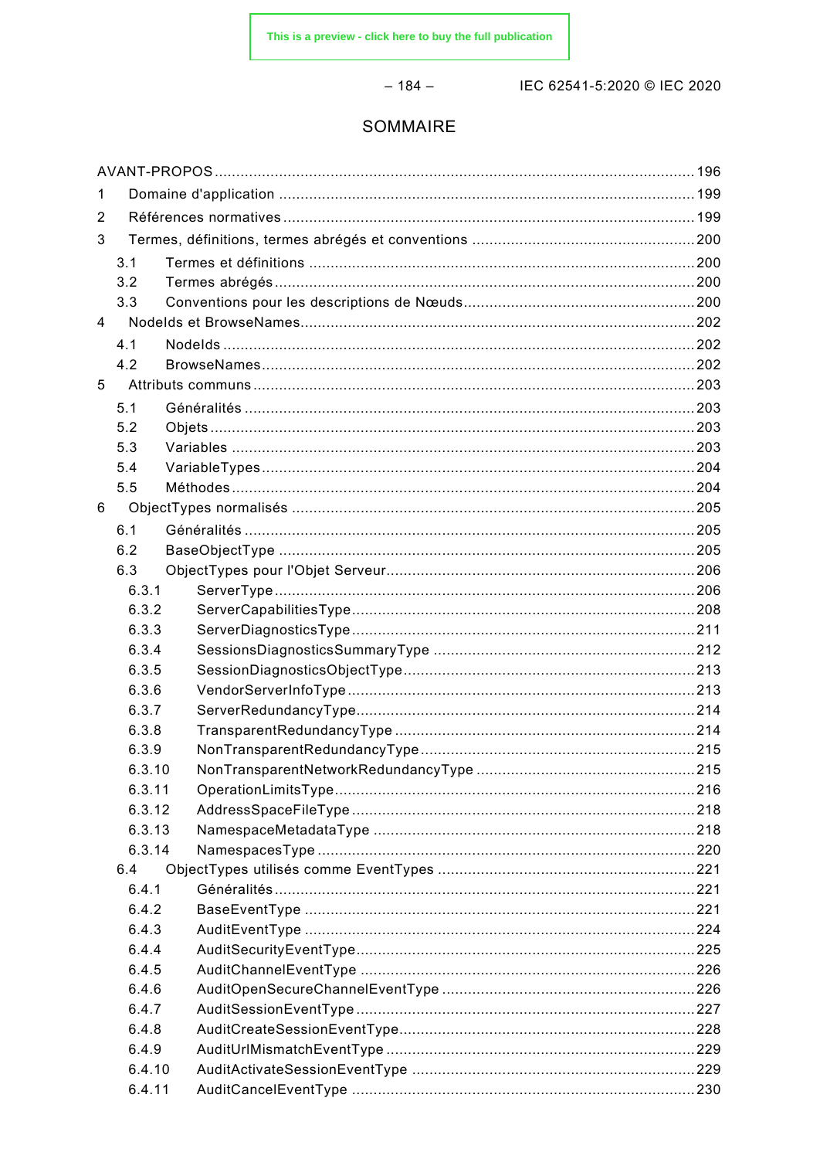#### $-184-$

IEC 62541-5:2020 © IEC 2020

#### SOMMAIRE

| 1              |        |  |  |  |
|----------------|--------|--|--|--|
| 2              |        |  |  |  |
| 3              |        |  |  |  |
|                | 3.1    |  |  |  |
|                | 3.2    |  |  |  |
|                | 3.3    |  |  |  |
| $\overline{4}$ |        |  |  |  |
|                | 4.1    |  |  |  |
|                | 4.2    |  |  |  |
| 5              |        |  |  |  |
|                | 5.1    |  |  |  |
|                | 5.2    |  |  |  |
|                | 5.3    |  |  |  |
|                | 5.4    |  |  |  |
|                | 5.5    |  |  |  |
| 6              |        |  |  |  |
|                | 6.1    |  |  |  |
|                | 6.2    |  |  |  |
|                | 6.3    |  |  |  |
|                | 6.3.1  |  |  |  |
|                | 6.3.2  |  |  |  |
|                | 6.3.3  |  |  |  |
|                | 6.3.4  |  |  |  |
|                | 6.3.5  |  |  |  |
|                | 6.3.6  |  |  |  |
|                | 6.3.7  |  |  |  |
|                | 6.3.8  |  |  |  |
|                | 6.3.9  |  |  |  |
|                | 6.3.10 |  |  |  |
|                | 6.3.11 |  |  |  |
|                | 6.3.12 |  |  |  |
|                | 6.3.13 |  |  |  |
|                | 6.3.14 |  |  |  |
|                | 6.4    |  |  |  |
|                | 6.4.1  |  |  |  |
|                | 6.4.2  |  |  |  |
|                | 6.4.3  |  |  |  |
|                | 6.4.4  |  |  |  |
|                | 6.4.5  |  |  |  |
|                | 6.4.6  |  |  |  |
|                | 6.4.7  |  |  |  |
|                | 6.4.8  |  |  |  |
|                | 6.4.9  |  |  |  |
|                | 6.4.10 |  |  |  |
|                | 6.4.11 |  |  |  |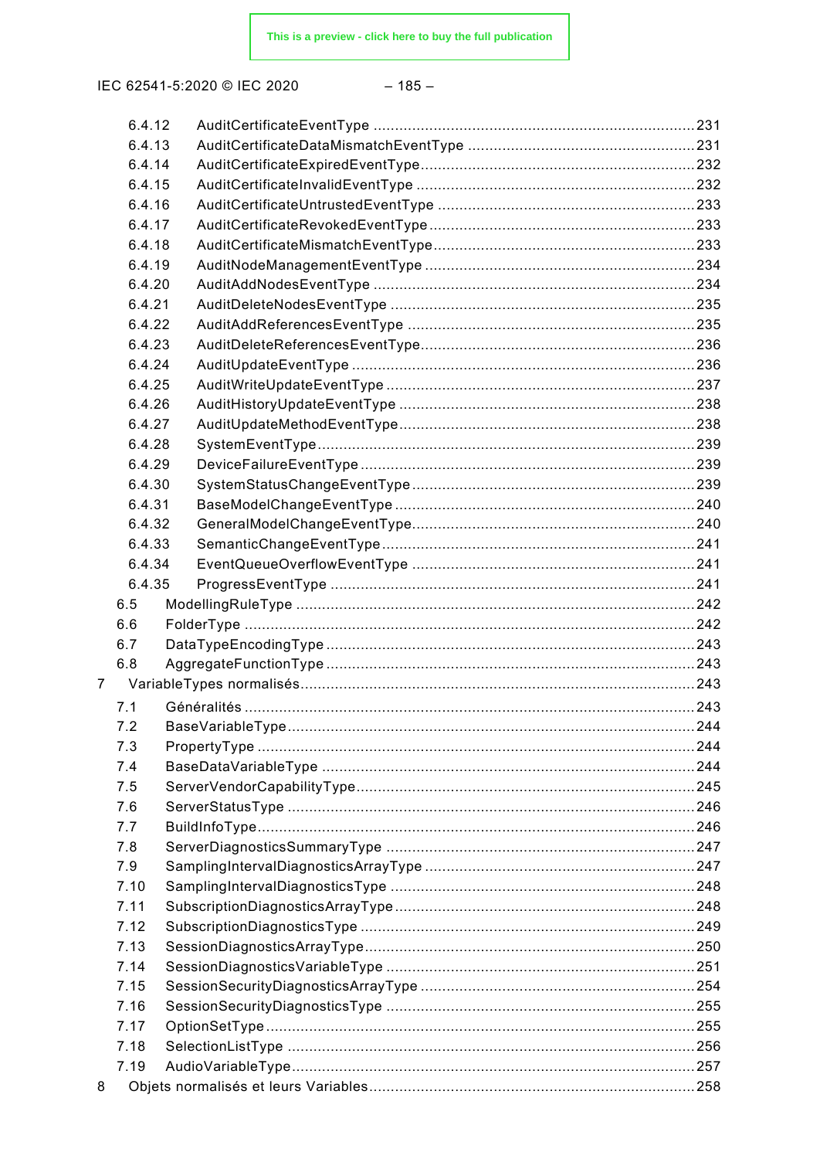#### $-185-$

|                | 6.4.12 |  |
|----------------|--------|--|
|                | 6.4.13 |  |
|                | 6.4.14 |  |
|                | 6.4.15 |  |
|                | 6.4.16 |  |
|                | 6.4.17 |  |
|                | 6.4.18 |  |
|                | 6.4.19 |  |
|                | 6.4.20 |  |
|                | 6.4.21 |  |
|                | 6.4.22 |  |
|                | 6.4.23 |  |
|                | 6.4.24 |  |
|                | 6.4.25 |  |
|                | 6.4.26 |  |
|                | 6.4.27 |  |
|                | 6.4.28 |  |
|                | 6.4.29 |  |
|                | 6.4.30 |  |
|                | 6.4.31 |  |
|                | 6.4.32 |  |
|                | 6.4.33 |  |
|                | 6.4.34 |  |
|                | 6.4.35 |  |
|                | 6.5    |  |
|                | 6.6    |  |
|                | 6.7    |  |
|                | 6.8    |  |
| $\overline{7}$ |        |  |
|                | 7.1    |  |
|                | 7.2    |  |
|                | 7.3    |  |
|                | 7.4    |  |
|                | 7.5    |  |
|                | 7.6    |  |
|                | 7.7    |  |
|                | 7.8    |  |
|                | 7.9    |  |
|                |        |  |
|                | 7.10   |  |
|                | 7.11   |  |
|                | 7.12   |  |
|                | 7.13   |  |
|                | 7.14   |  |
|                | 7.15   |  |
|                | 7.16   |  |
|                | 7.17   |  |
|                | 7.18   |  |
|                | 7.19   |  |
| 8              |        |  |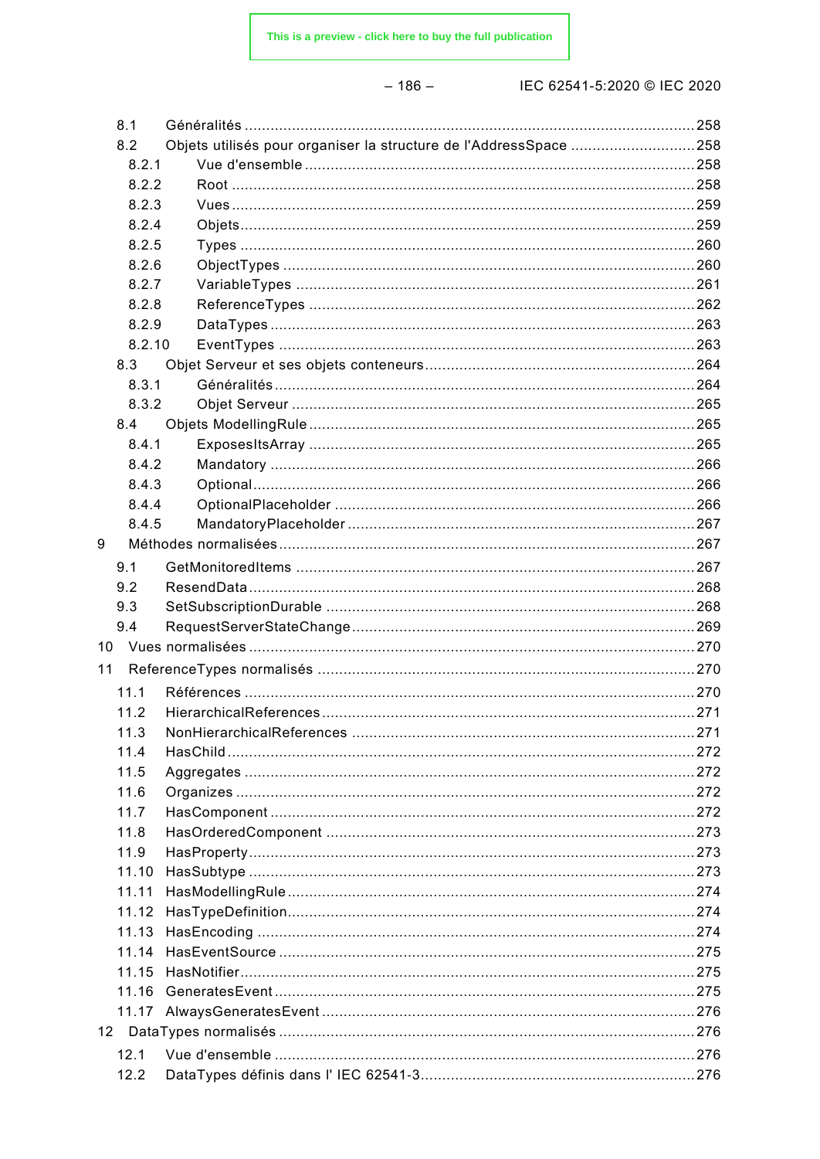#### $-186-$

| 8.1    |                                                                   |     |
|--------|-------------------------------------------------------------------|-----|
| 8.2    | Objets utilisés pour organiser la structure de l'AddressSpace 258 |     |
| 8.2.1  |                                                                   |     |
| 8.2.2  |                                                                   |     |
| 8.2.3  |                                                                   |     |
| 8.2.4  |                                                                   |     |
| 8.2.5  |                                                                   |     |
| 8.2.6  |                                                                   |     |
| 8.2.7  |                                                                   |     |
| 8.2.8  |                                                                   |     |
| 8.2.9  |                                                                   |     |
| 8.2.10 |                                                                   |     |
| 8.3    |                                                                   |     |
| 8.3.1  |                                                                   |     |
| 8.3.2  |                                                                   |     |
| 8.4    |                                                                   |     |
| 8.4.1  |                                                                   |     |
| 8.4.2  |                                                                   |     |
| 8.4.3  |                                                                   |     |
| 8.4.4  |                                                                   |     |
| 8.4.5  |                                                                   |     |
| 9      |                                                                   |     |
|        |                                                                   |     |
| 9.1    |                                                                   |     |
| 9.2    |                                                                   |     |
| 9.3    |                                                                   |     |
| 9.4    |                                                                   |     |
| 10     |                                                                   |     |
| 11     |                                                                   |     |
| 11.1   |                                                                   |     |
| 11.2   |                                                                   |     |
| 11.3   | <b>NonHierarchicalReferences</b>                                  | 271 |
| 11.4   |                                                                   |     |
| 11.5   |                                                                   |     |
| 11.6   |                                                                   |     |
| 11.7   |                                                                   |     |
| 11.8   |                                                                   |     |
| 11.9   |                                                                   |     |
| 11.10  |                                                                   |     |
| 11.11  |                                                                   |     |
| 11.12  |                                                                   |     |
| 11.13  |                                                                   |     |
| 11.14  |                                                                   |     |
| 11.15  |                                                                   |     |
| 11.16  |                                                                   |     |
|        |                                                                   |     |
|        |                                                                   |     |
| 12.1   |                                                                   |     |
| 12.2   |                                                                   |     |
|        |                                                                   |     |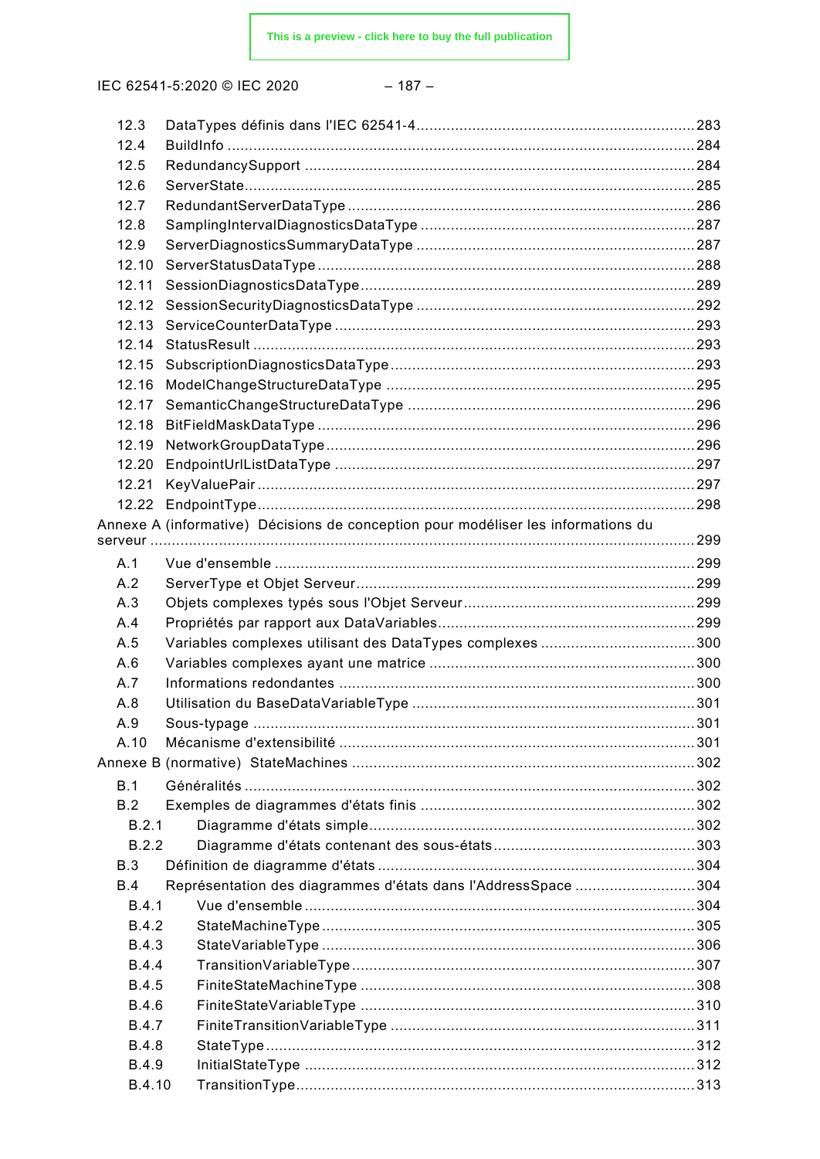#### $-187-$

| 12.3         |                                                                                   |  |
|--------------|-----------------------------------------------------------------------------------|--|
| 12.4         |                                                                                   |  |
| 12.5         |                                                                                   |  |
| 12.6         |                                                                                   |  |
| 12.7         |                                                                                   |  |
| 12.8         |                                                                                   |  |
| 12.9         |                                                                                   |  |
| 12.10        |                                                                                   |  |
| 12.11        |                                                                                   |  |
| 12.12        |                                                                                   |  |
| 12.13        |                                                                                   |  |
| 12.14        |                                                                                   |  |
| 12.15        |                                                                                   |  |
| 12.16        |                                                                                   |  |
| 12.17        |                                                                                   |  |
| 12.18        |                                                                                   |  |
| 12.19        |                                                                                   |  |
| 12.20        |                                                                                   |  |
| 12.21        |                                                                                   |  |
| 12.22        |                                                                                   |  |
|              | Annexe A (informative) Décisions de conception pour modéliser les informations du |  |
|              |                                                                                   |  |
| A.1          |                                                                                   |  |
| A.2          |                                                                                   |  |
| A.3          |                                                                                   |  |
| A.4          |                                                                                   |  |
| A.5          | Variables complexes utilisant des DataTypes complexes 300                         |  |
| A.6          |                                                                                   |  |
| A.7          |                                                                                   |  |
| A.8          |                                                                                   |  |
| A.9          |                                                                                   |  |
| A.10         |                                                                                   |  |
|              |                                                                                   |  |
| B.1          |                                                                                   |  |
| B.2          |                                                                                   |  |
| B.2.1        |                                                                                   |  |
| B.2.2        |                                                                                   |  |
| B.3          |                                                                                   |  |
| B.4          | Représentation des diagrammes d'états dans l'AddressSpace 304                     |  |
| B.4.1        |                                                                                   |  |
| <b>B.4.2</b> |                                                                                   |  |
| <b>B.4.3</b> |                                                                                   |  |
| <b>B.4.4</b> |                                                                                   |  |
| <b>B.4.5</b> |                                                                                   |  |
| <b>B.4.6</b> |                                                                                   |  |
| <b>B.4.7</b> |                                                                                   |  |
| <b>B.4.8</b> |                                                                                   |  |
| <b>B.4.9</b> |                                                                                   |  |
| B.4.10       |                                                                                   |  |
|              |                                                                                   |  |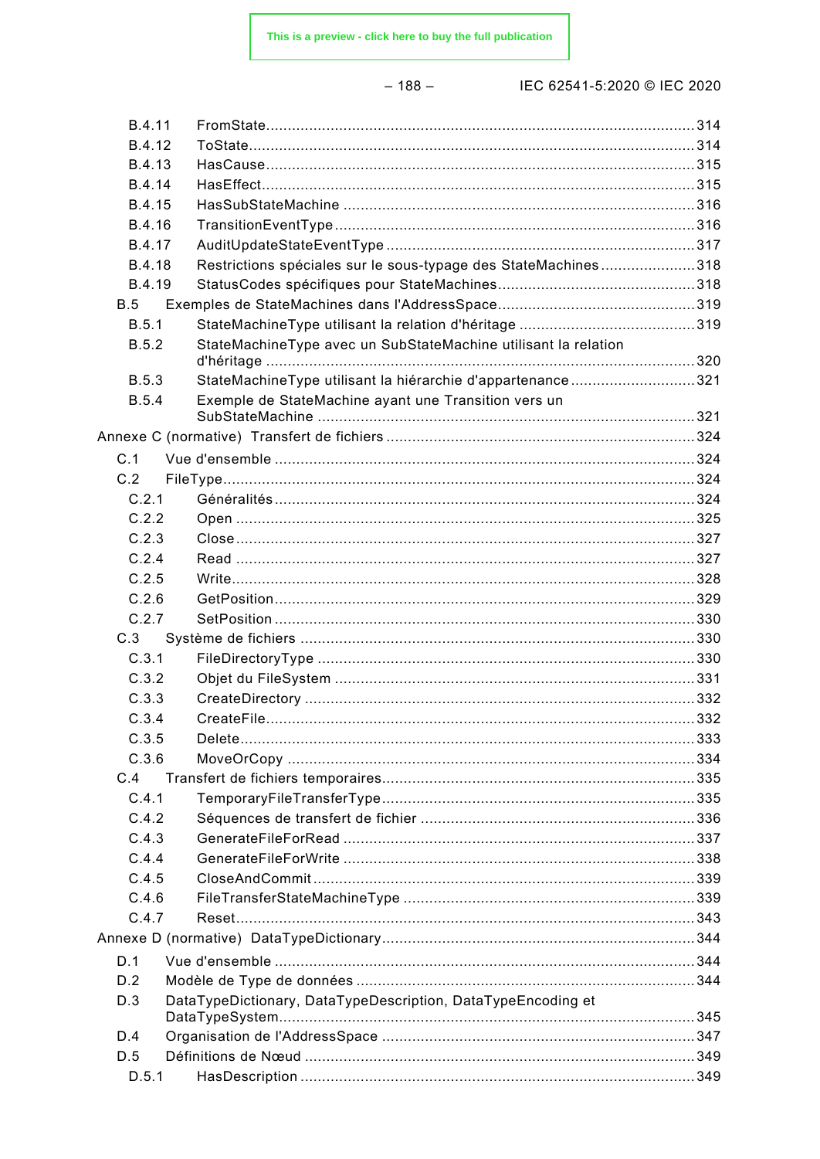|--|--|--|--|

| B.4.11       |                                                                |  |
|--------------|----------------------------------------------------------------|--|
| B.4.12       |                                                                |  |
| B.4.13       |                                                                |  |
| B.4.14       |                                                                |  |
| B.4.15       |                                                                |  |
| B.4.16       |                                                                |  |
| B.4.17       |                                                                |  |
| B.4.18       | Restrictions spéciales sur le sous-typage des StateMachines318 |  |
| B.4.19       |                                                                |  |
| B.5          |                                                                |  |
| B.5.1        |                                                                |  |
| B.5.2        | StateMachineType avec un SubStateMachine utilisant la relation |  |
|              |                                                                |  |
| <b>B.5.3</b> | StateMachineType utilisant la hiérarchie d'appartenance321     |  |
| <b>B.5.4</b> | Exemple de StateMachine ayant une Transition vers un           |  |
|              |                                                                |  |
| C.1          |                                                                |  |
| C.2          |                                                                |  |
| C.2.1        |                                                                |  |
| C.2.2        |                                                                |  |
| C.2.3        |                                                                |  |
| C.2.4        |                                                                |  |
| C.2.5        |                                                                |  |
| C.2.6        |                                                                |  |
| C.2.7        |                                                                |  |
| C.3          |                                                                |  |
| C.3.1        |                                                                |  |
| C.3.2        |                                                                |  |
| C.3.3        |                                                                |  |
| C.3.4        |                                                                |  |
| C.3.5        |                                                                |  |
| C.3.6        |                                                                |  |
| C.4          |                                                                |  |
| C.4.1        |                                                                |  |
| C.4.2        |                                                                |  |
| C.4.3        |                                                                |  |
| C.4.4        |                                                                |  |
| C.4.5        |                                                                |  |
| C.4.6        |                                                                |  |
| C.4.7        |                                                                |  |
|              |                                                                |  |
|              |                                                                |  |
| D.1          |                                                                |  |
| D.2          |                                                                |  |
| D.3          | DataTypeDictionary, DataTypeDescription, DataTypeEncoding et   |  |
| D.4          |                                                                |  |
| D.5          |                                                                |  |
| D.5.1        |                                                                |  |
|              |                                                                |  |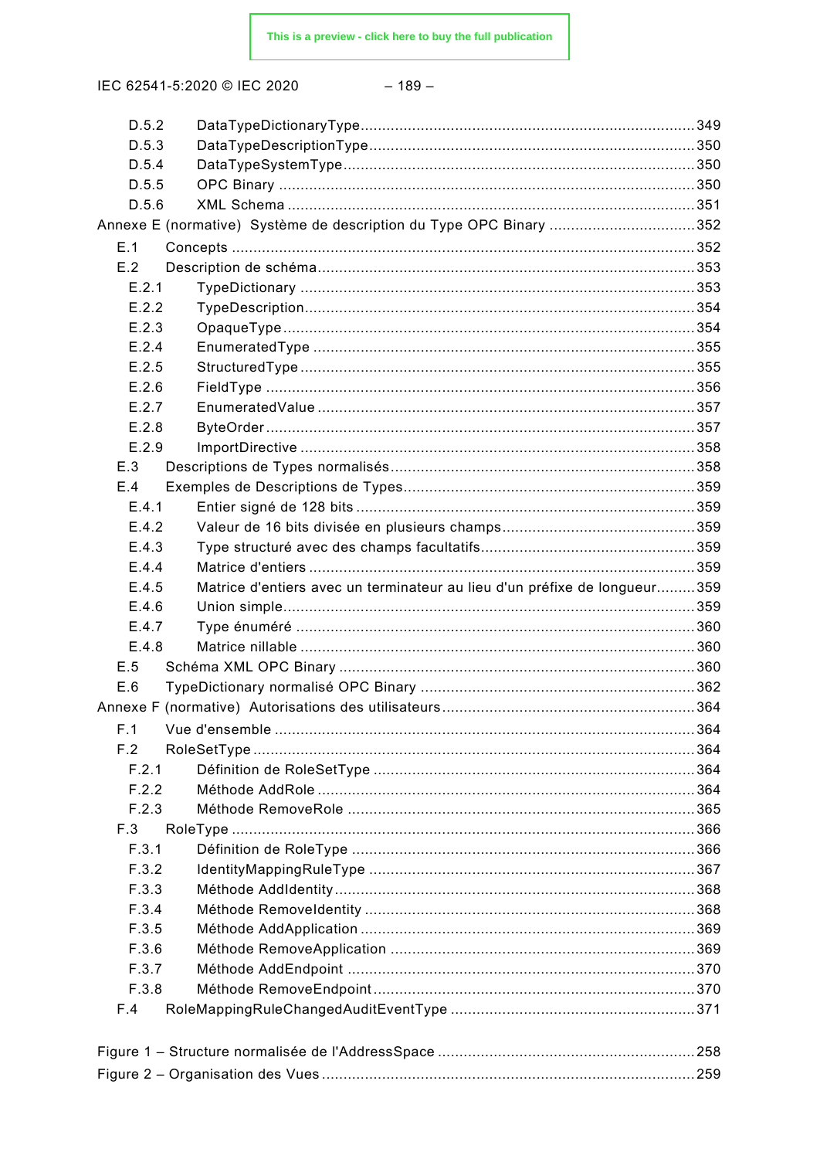| D.5.2          |                                                                           |  |
|----------------|---------------------------------------------------------------------------|--|
| D.5.3<br>D.5.4 |                                                                           |  |
| D.5.5          |                                                                           |  |
|                |                                                                           |  |
| D.5.6          |                                                                           |  |
|                | Annexe E (normative) Système de description du Type OPC Binary 352        |  |
| E.1            |                                                                           |  |
| E.2            |                                                                           |  |
| E.2.1          |                                                                           |  |
| E.2.2          |                                                                           |  |
| E.2.3          |                                                                           |  |
| E.2.4          |                                                                           |  |
| E.2.5          |                                                                           |  |
| E.2.6          |                                                                           |  |
| E.2.7          |                                                                           |  |
| E.2.8          |                                                                           |  |
| E.2.9          |                                                                           |  |
| E.3            |                                                                           |  |
| E.4            |                                                                           |  |
| E.4.1          |                                                                           |  |
| E.4.2          |                                                                           |  |
| E.4.3          |                                                                           |  |
| E.4.4          |                                                                           |  |
| E.4.5          | Matrice d'entiers avec un terminateur au lieu d'un préfixe de longueur359 |  |
| E.4.6          |                                                                           |  |
| E.4.7          |                                                                           |  |
| E.4.8          |                                                                           |  |
| E.5            |                                                                           |  |
| E.6            |                                                                           |  |
|                |                                                                           |  |
| F.1            |                                                                           |  |
| F.2            |                                                                           |  |
| F.2.1          |                                                                           |  |
| F.2.2          |                                                                           |  |
| F.2.3          |                                                                           |  |
| F.3            |                                                                           |  |
| F.3.1          |                                                                           |  |
| F.3.2          |                                                                           |  |
| F.3.3          |                                                                           |  |
| F.3.4          |                                                                           |  |
| F.3.5          |                                                                           |  |
| F.3.6          |                                                                           |  |
|                |                                                                           |  |
| F.3.7          |                                                                           |  |
| F.3.8<br>F.4   |                                                                           |  |
|                |                                                                           |  |
|                |                                                                           |  |
|                |                                                                           |  |
|                |                                                                           |  |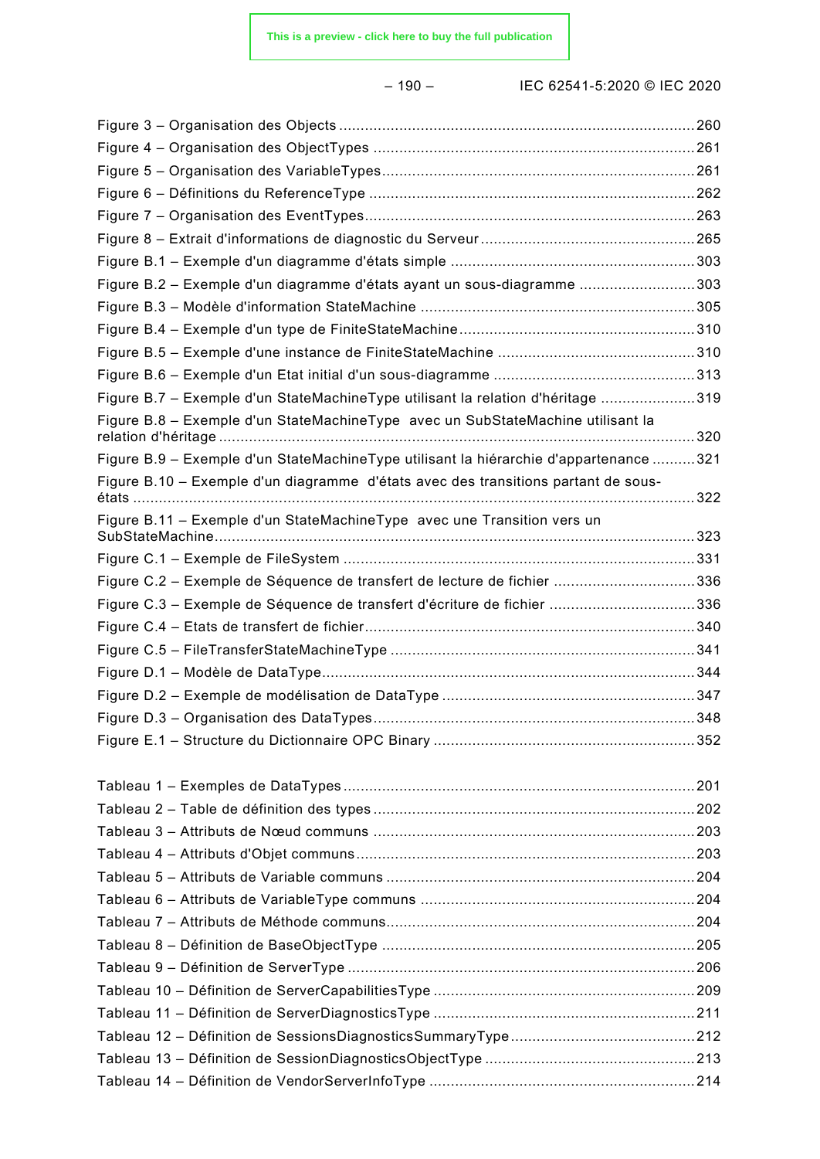– 190 – IEC 62541-5:2020 © IEC 2020

| Figure B.2 - Exemple d'un diagramme d'états ayant un sous-diagramme 303               |  |
|---------------------------------------------------------------------------------------|--|
|                                                                                       |  |
|                                                                                       |  |
|                                                                                       |  |
|                                                                                       |  |
| Figure B.7 - Exemple d'un StateMachineType utilisant la relation d'héritage 319       |  |
| Figure B.8 - Exemple d'un StateMachineType avec un SubStateMachine utilisant la       |  |
| Figure B.9 - Exemple d'un StateMachineType utilisant la hiérarchie d'appartenance 321 |  |
| Figure B.10 - Exemple d'un diagramme d'états avec des transitions partant de sous-    |  |
| Figure B.11 - Exemple d'un StateMachineType avec une Transition vers un               |  |
|                                                                                       |  |
| Figure C.2 - Exemple de Séquence de transfert de lecture de fichier 336               |  |
| Figure C.3 - Exemple de Séquence de transfert d'écriture de fichier 336               |  |
|                                                                                       |  |
|                                                                                       |  |
|                                                                                       |  |
|                                                                                       |  |
|                                                                                       |  |
|                                                                                       |  |
|                                                                                       |  |
|                                                                                       |  |
|                                                                                       |  |
|                                                                                       |  |
|                                                                                       |  |
|                                                                                       |  |
|                                                                                       |  |
|                                                                                       |  |
|                                                                                       |  |
|                                                                                       |  |
|                                                                                       |  |
|                                                                                       |  |
|                                                                                       |  |
|                                                                                       |  |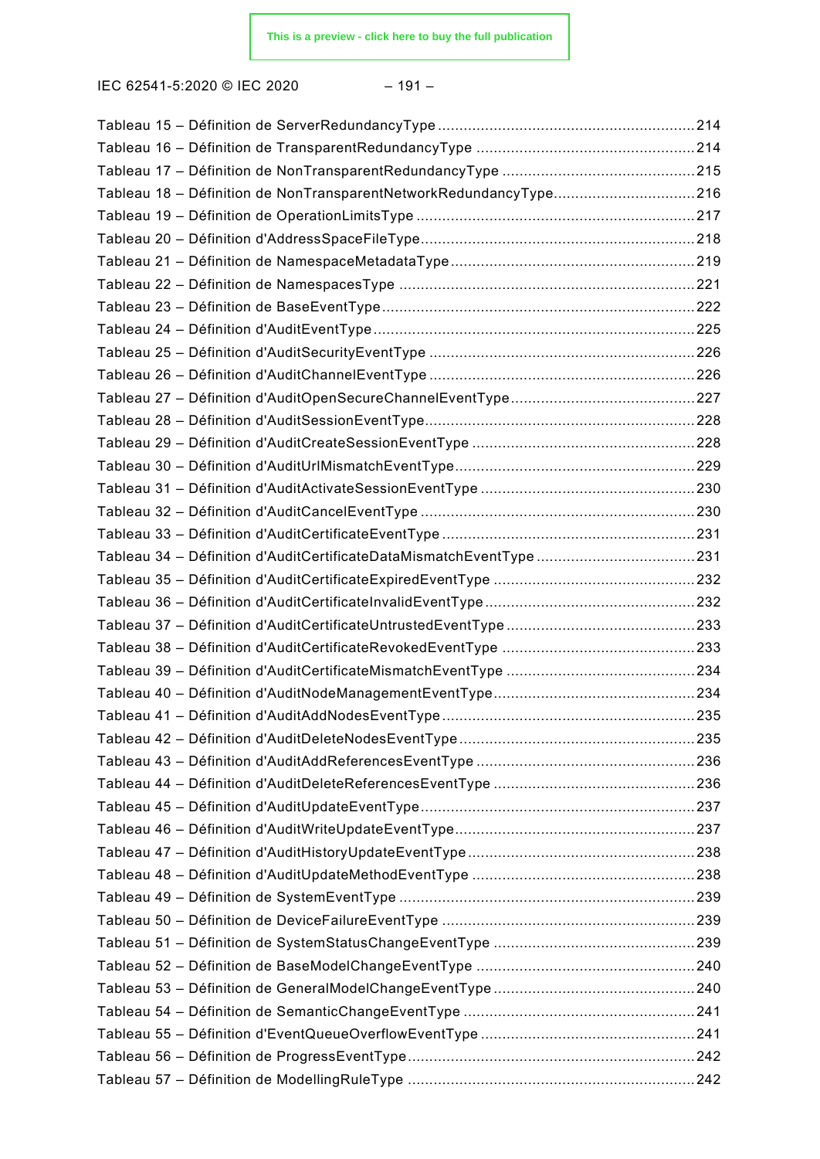IEC 62541-5:2020 © IEC 2020 – 191 –

| Tableau 18 - Définition de NonTransparentNetworkRedundancyType216 |  |
|-------------------------------------------------------------------|--|
|                                                                   |  |
|                                                                   |  |
|                                                                   |  |
|                                                                   |  |
|                                                                   |  |
|                                                                   |  |
|                                                                   |  |
|                                                                   |  |
|                                                                   |  |
|                                                                   |  |
|                                                                   |  |
|                                                                   |  |
|                                                                   |  |
|                                                                   |  |
|                                                                   |  |
|                                                                   |  |
|                                                                   |  |
|                                                                   |  |
|                                                                   |  |
|                                                                   |  |
|                                                                   |  |
|                                                                   |  |
|                                                                   |  |
|                                                                   |  |
|                                                                   |  |
|                                                                   |  |
|                                                                   |  |
|                                                                   |  |
|                                                                   |  |
|                                                                   |  |
|                                                                   |  |
|                                                                   |  |
|                                                                   |  |
|                                                                   |  |
|                                                                   |  |
|                                                                   |  |
|                                                                   |  |
|                                                                   |  |
|                                                                   |  |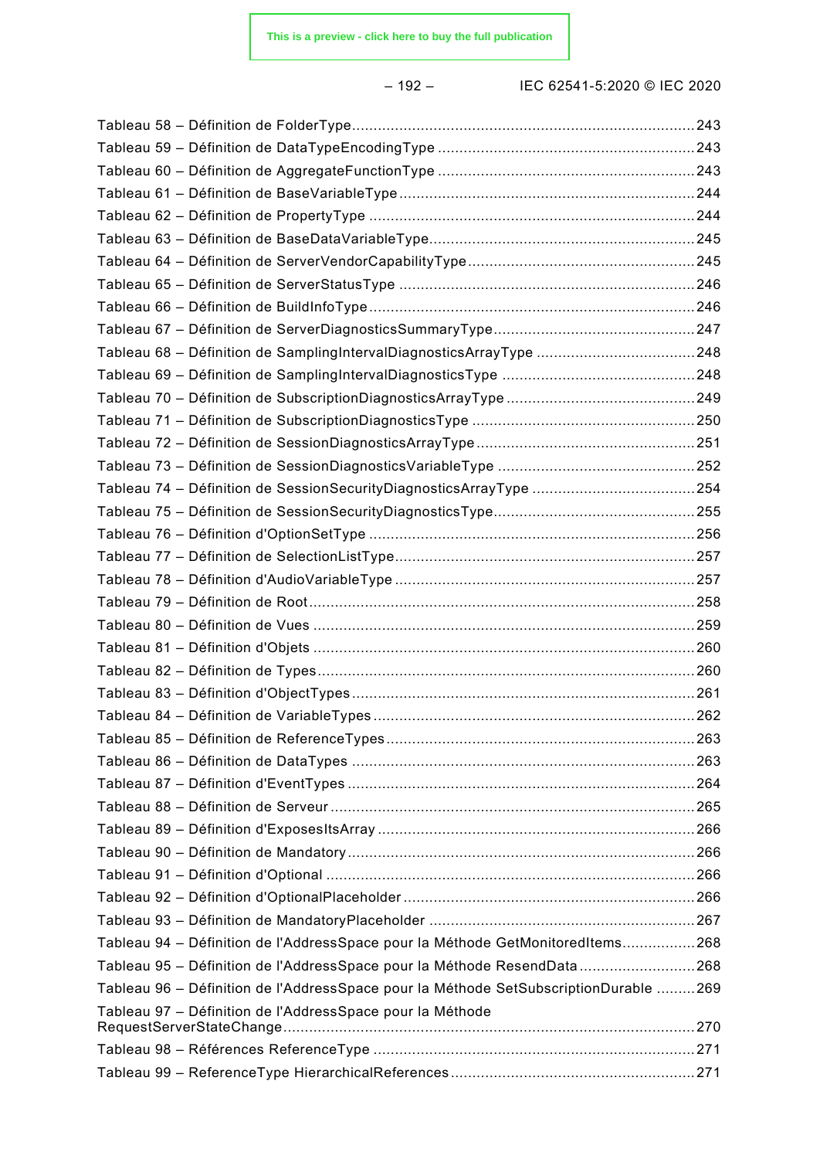– 192 – IEC 62541-5:2020 © IEC 2020

| Tableau 68 - Définition de SamplingIntervalDiagnosticsArrayType 248                  |  |
|--------------------------------------------------------------------------------------|--|
|                                                                                      |  |
|                                                                                      |  |
|                                                                                      |  |
|                                                                                      |  |
|                                                                                      |  |
|                                                                                      |  |
|                                                                                      |  |
|                                                                                      |  |
|                                                                                      |  |
|                                                                                      |  |
|                                                                                      |  |
|                                                                                      |  |
|                                                                                      |  |
|                                                                                      |  |
|                                                                                      |  |
|                                                                                      |  |
|                                                                                      |  |
|                                                                                      |  |
|                                                                                      |  |
|                                                                                      |  |
|                                                                                      |  |
|                                                                                      |  |
|                                                                                      |  |
|                                                                                      |  |
|                                                                                      |  |
| Tableau 94 - Définition de l'AddressSpace pour la Méthode GetMonitoredItems268       |  |
| Tableau 95 - Définition de l'AddressSpace pour la Méthode ResendData268              |  |
| Tableau 96 - Définition de l'AddressSpace pour la Méthode SetSubscriptionDurable 269 |  |
| Tableau 97 - Définition de l'AddressSpace pour la Méthode                            |  |
|                                                                                      |  |
|                                                                                      |  |
|                                                                                      |  |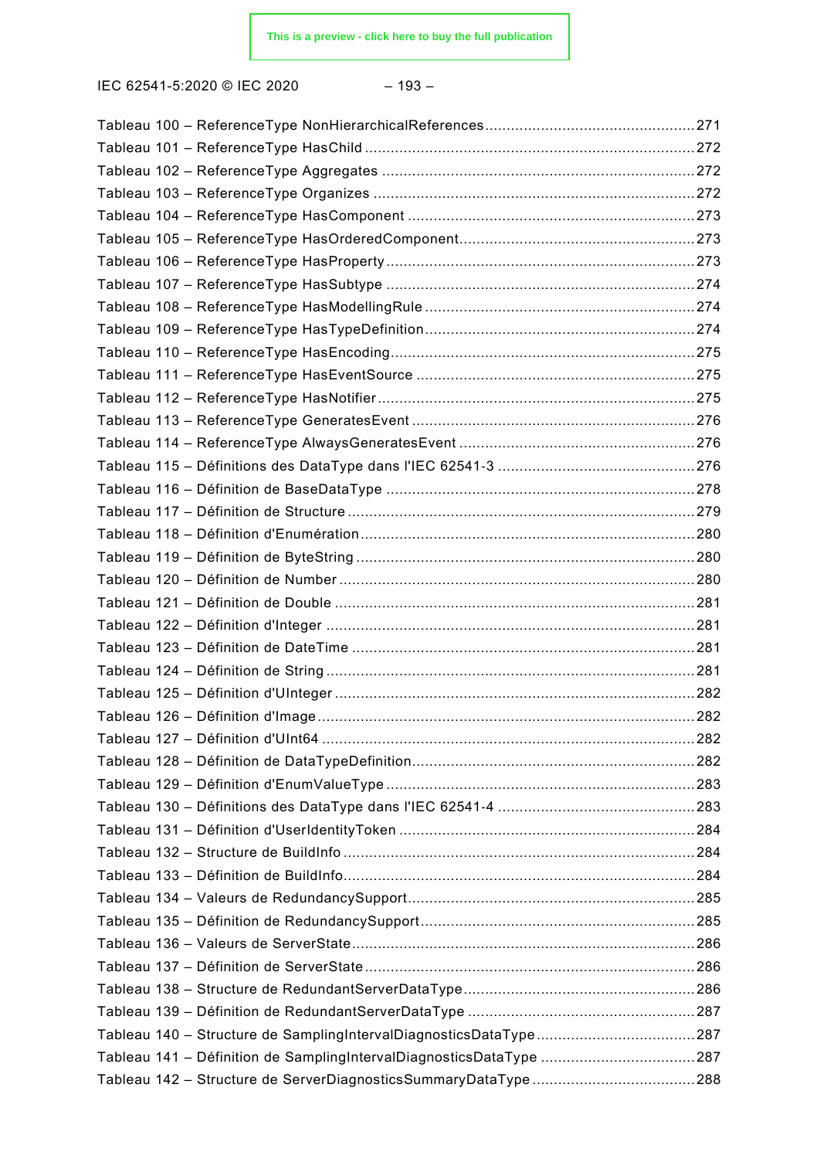IEC 62541-5:2020 © IEC 2020 – 193 –

| Tableau 141 - Définition de SamplingIntervalDiagnosticsDataType 287 |  |
|---------------------------------------------------------------------|--|
|                                                                     |  |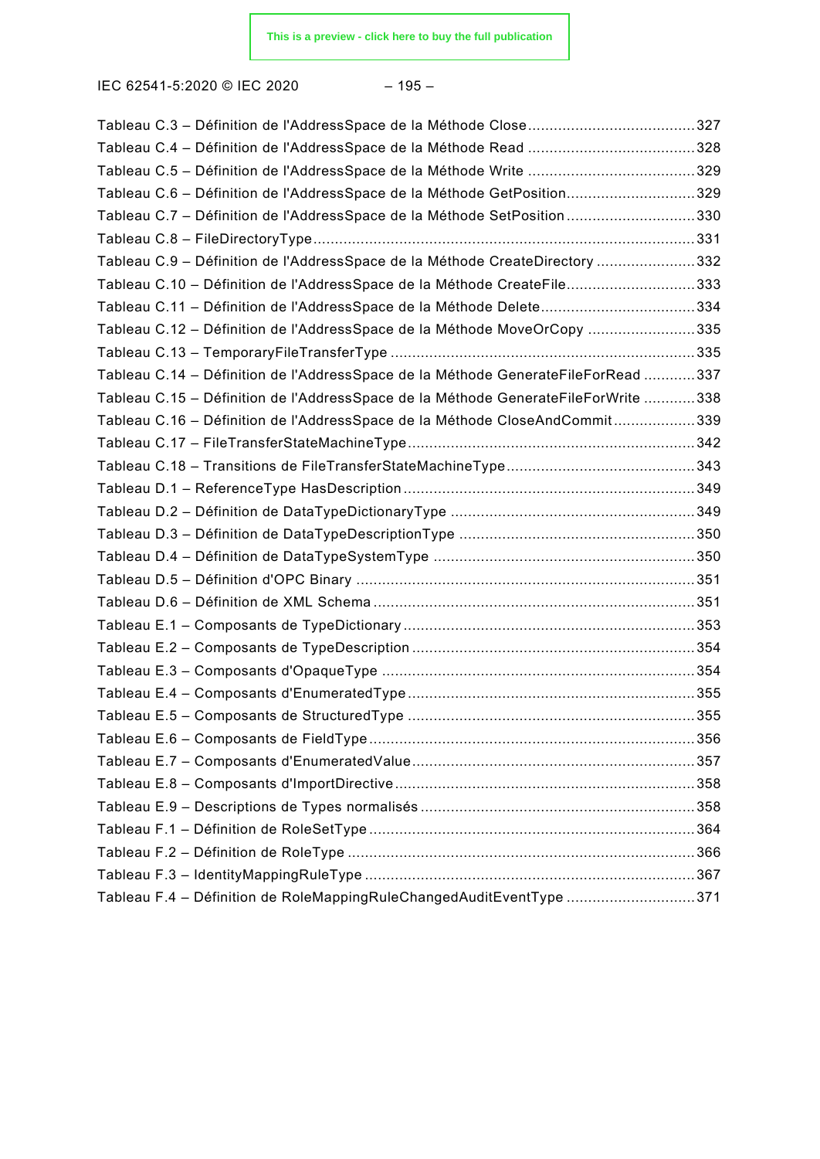IEC 62541-5:2020 © IEC 2020 – 195 –

| Tableau C.6 - Définition de l'AddressSpace de la Méthode GetPosition329            |  |
|------------------------------------------------------------------------------------|--|
| Tableau C.7 - Définition de l'AddressSpace de la Méthode SetPosition330            |  |
|                                                                                    |  |
| Tableau C.9 - Définition de l'AddressSpace de la Méthode CreateDirectory 332       |  |
| Tableau C.10 - Définition de l'AddressSpace de la Méthode CreateFile333            |  |
|                                                                                    |  |
| Tableau C.12 - Définition de l'AddressSpace de la Méthode MoveOrCopy 335           |  |
|                                                                                    |  |
| Tableau C.14 - Définition de l'AddressSpace de la Méthode GenerateFileForRead 337  |  |
| Tableau C.15 - Définition de l'AddressSpace de la Méthode GenerateFileForWrite 338 |  |
| Tableau C.16 - Définition de l'AddressSpace de la Méthode CloseAndCommit339        |  |
|                                                                                    |  |
|                                                                                    |  |
|                                                                                    |  |
|                                                                                    |  |
|                                                                                    |  |
|                                                                                    |  |
|                                                                                    |  |
|                                                                                    |  |
|                                                                                    |  |
|                                                                                    |  |
|                                                                                    |  |
|                                                                                    |  |
|                                                                                    |  |
|                                                                                    |  |
|                                                                                    |  |
|                                                                                    |  |
|                                                                                    |  |
|                                                                                    |  |
|                                                                                    |  |
|                                                                                    |  |
| Tableau F.4 - Définition de RoleMappingRuleChangedAuditEventType 371               |  |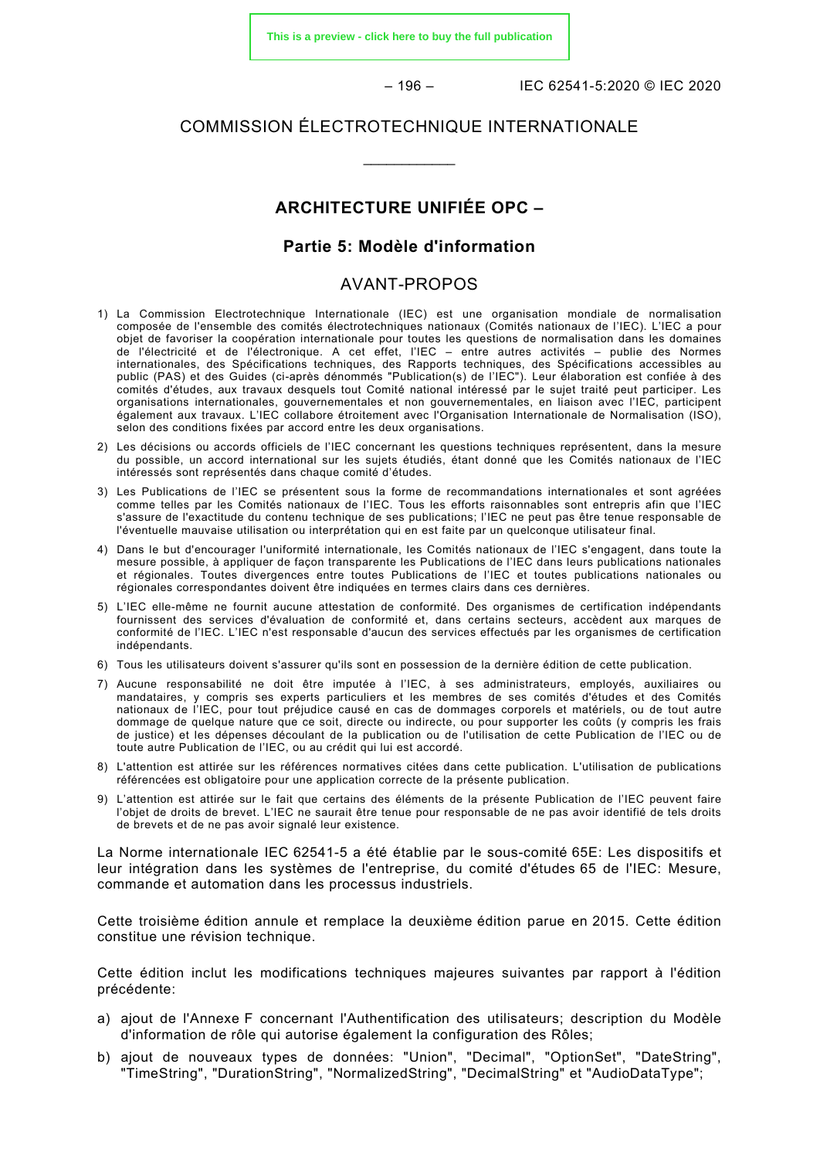**[This is a preview - click here to buy the full publication](https://webstore.iec.ch/publication/61114&preview)**

 $-196 -$  IFC 62541-5:2020 © IFC 2020

#### COMMISSION ÉLECTROTECHNIQUE INTERNATIONALE

\_\_\_\_\_\_\_\_\_\_\_\_

#### **ARCHITECTURE UNIFIÉE OPC –**

#### **Partie 5: Modèle d'information**

#### AVANT-PROPOS

- <span id="page-29-0"></span>1) La Commission Electrotechnique Internationale (IEC) est une organisation mondiale de normalisation composée de l'ensemble des comités électrotechniques nationaux (Comités nationaux de l'IEC). L'IEC a pour objet de favoriser la coopération internationale pour toutes les questions de normalisation dans les domaines de l'électricité et de l'électronique. A cet effet, l'IEC – entre autres activités – publie des Normes internationales, des Spécifications techniques, des Rapports techniques, des Spécifications accessibles au public (PAS) et des Guides (ci-après dénommés "Publication(s) de l'IEC"). Leur élaboration est confiée à des comités d'études, aux travaux desquels tout Comité national intéressé par le sujet traité peut participer. Les organisations internationales, gouvernementales et non gouvernementales, en liaison avec l'IEC, participent également aux travaux. L'IEC collabore étroitement avec l'Organisation Internationale de Normalisation (ISO), selon des conditions fixées par accord entre les deux organisations.
- 2) Les décisions ou accords officiels de l'IEC concernant les questions techniques représentent, dans la mesure du possible, un accord international sur les sujets étudiés, étant donné que les Comités nationaux de l'IEC intéressés sont représentés dans chaque comité d'études.
- 3) Les Publications de l'IEC se présentent sous la forme de recommandations internationales et sont agréées comme telles par les Comités nationaux de l'IEC. Tous les efforts raisonnables sont entrepris afin que l'IEC s'assure de l'exactitude du contenu technique de ses publications; l'IEC ne peut pas être tenue responsable de l'éventuelle mauvaise utilisation ou interprétation qui en est faite par un quelconque utilisateur final.
- 4) Dans le but d'encourager l'uniformité internationale, les Comités nationaux de l'IEC s'engagent, dans toute la mesure possible, à appliquer de façon transparente les Publications de l'IEC dans leurs publications nationales et régionales. Toutes divergences entre toutes Publications de l'IEC et toutes publications nationales ou régionales correspondantes doivent être indiquées en termes clairs dans ces dernières.
- 5) L'IEC elle-même ne fournit aucune attestation de conformité. Des organismes de certification indépendants fournissent des services d'évaluation de conformité et, dans certains secteurs, accèdent aux marques de conformité de l'IEC. L'IEC n'est responsable d'aucun des services effectués par les organismes de certification indépendants.
- 6) Tous les utilisateurs doivent s'assurer qu'ils sont en possession de la dernière édition de cette publication.
- 7) Aucune responsabilité ne doit être imputée à l'IEC, à ses administrateurs, employés, auxiliaires ou mandataires, y compris ses experts particuliers et les membres de ses comités d'études et des Comités nationaux de l'IEC, pour tout préjudice causé en cas de dommages corporels et matériels, ou de tout autre dommage de quelque nature que ce soit, directe ou indirecte, ou pour supporter les coûts (y compris les frais de justice) et les dépenses découlant de la publication ou de l'utilisation de cette Publication de l'IEC ou de toute autre Publication de l'IEC, ou au crédit qui lui est accordé.
- 8) L'attention est attirée sur les références normatives citées dans cette publication. L'utilisation de publications référencées est obligatoire pour une application correcte de la présente publication.
- 9) L'attention est attirée sur le fait que certains des éléments de la présente Publication de l'IEC peuvent faire l'objet de droits de brevet. L'IEC ne saurait être tenue pour responsable de ne pas avoir identifié de tels droits de brevets et de ne pas avoir signalé leur existence.

La Norme internationale IEC 62541-5 a été établie par le sous-comité 65E: Les dispositifs et leur intégration dans les systèmes de l'entreprise, du comité d'études 65 de l'IEC: Mesure, commande et automation dans les processus industriels.

Cette troisième édition annule et remplace la deuxième édition parue en 2015. Cette édition constitue une révision technique.

Cette édition inclut les modifications techniques majeures suivantes par rapport à l'édition précédente:

- a) ajout de l'Annexe F concernant l'Authentification des utilisateurs; description du Modèle d'information de rôle qui autorise également la configuration des Rôles;
- b) ajout de nouveaux types de données: "Union", "Decimal", "OptionSet", "DateString", "TimeString", "DurationString", "NormalizedString", "DecimalString" et "AudioDataType";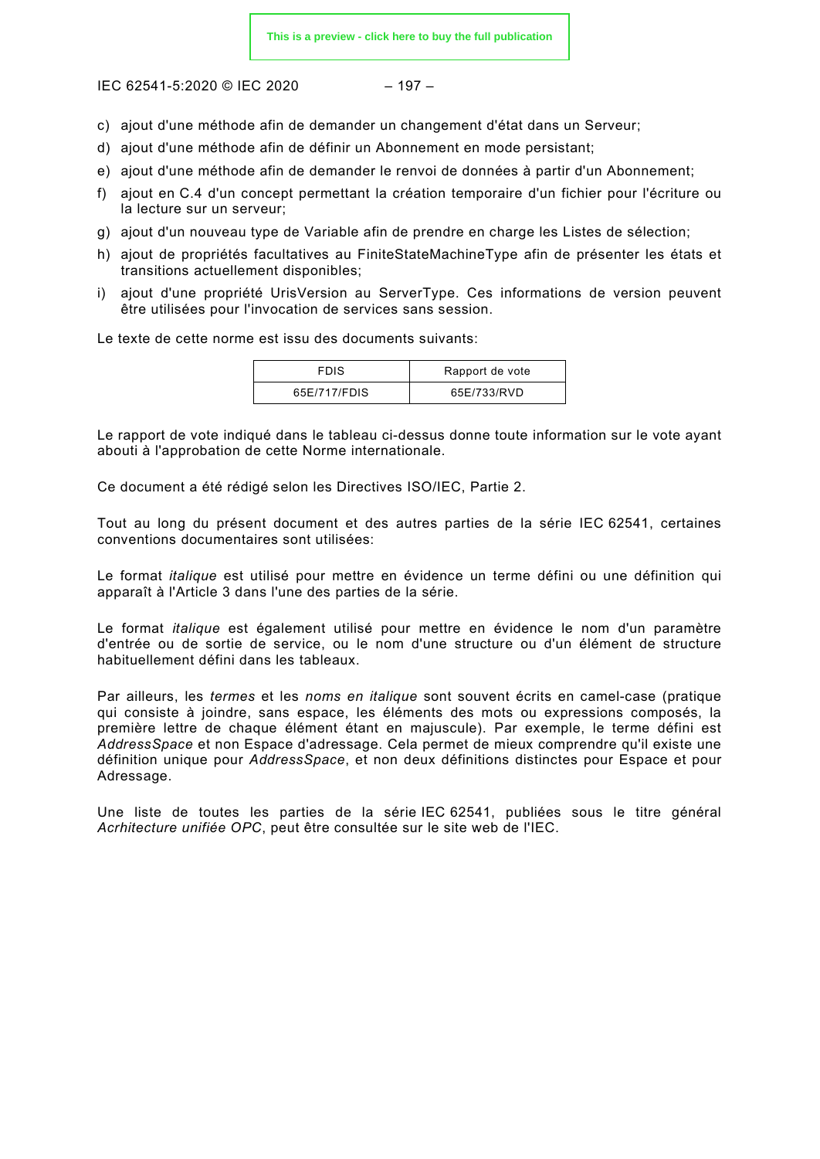IFC 62541-5:2020 © IFC 2020 – 197 –

- c) ajout d'une méthode afin de demander un changement d'état dans un Serveur;
- d) ajout d'une méthode afin de définir un Abonnement en mode persistant;
- e) ajout d'une méthode afin de demander le renvoi de données à partir d'un Abonnement;
- f) ajout en C.4 d'un concept permettant la création temporaire d'un fichier pour l'écriture ou la lecture sur un serveur;
- g) ajout d'un nouveau type de Variable afin de prendre en charge les Listes de sélection;
- h) ajout de propriétés facultatives au FiniteStateMachineType afin de présenter les états et transitions actuellement disponibles;
- i) ajout d'une propriété UrisVersion au ServerType. Ces informations de version peuvent être utilisées pour l'invocation de services sans session.

Le texte de cette norme est issu des documents suivants:

| <b>FDIS</b>  | Rapport de vote |
|--------------|-----------------|
| 65E/717/FDIS | 65E/733/RVD     |

Le rapport de vote indiqué dans le tableau ci-dessus donne toute information sur le vote ayant abouti à l'approbation de cette Norme internationale.

Ce document a été rédigé selon les Directives ISO/IEC, Partie 2.

Tout au long du présent document et des autres parties de la série IEC 62541, certaines conventions documentaires sont utilisées:

Le format *italique* est utilisé pour mettre en évidence un terme défini ou une définition qui apparaît à l'Article 3 dans l'une des parties de la série.

Le format *italique* est également utilisé pour mettre en évidence le nom d'un paramètre d'entrée ou de sortie de service, ou le nom d'une structure ou d'un élément de structure habituellement défini dans les tableaux.

Par ailleurs, les *termes* et les *noms en italique* sont souvent écrits en camel-case (pratique qui consiste à joindre, sans espace, les éléments des mots ou expressions composés, la première lettre de chaque élément étant en majuscule). Par exemple, le terme défini est *AddressSpace* et non Espace d'adressage. Cela permet de mieux comprendre qu'il existe une définition unique pour *AddressSpace*, et non deux définitions distinctes pour Espace et pour Adressage.

Une liste de toutes les parties de la série IEC 62541, publiées sous le titre général *Acrhitecture unifiée OPC*, peut être consultée sur le site web de l'IEC.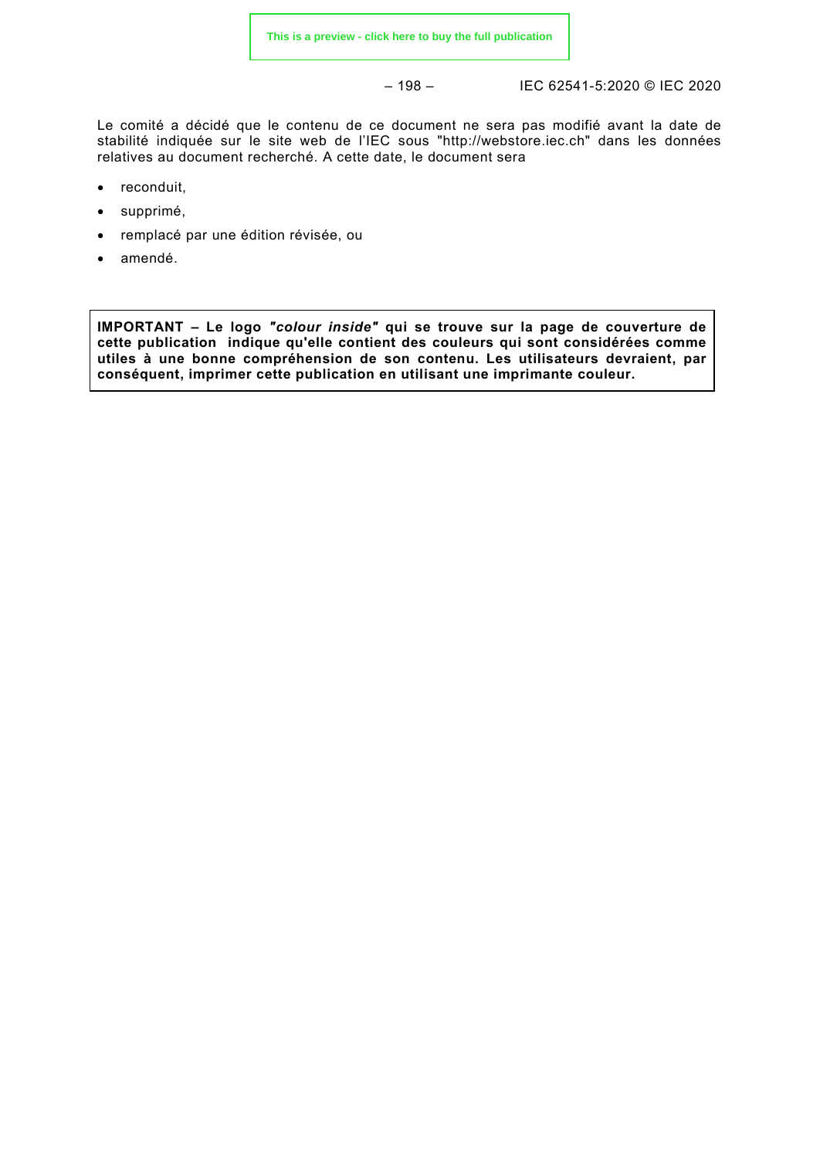– 198 – IEC 62541-5:2020 © IEC 2020

Le comité a décidé que le contenu de ce document ne sera pas modifié avant la date de stabilité indiquée sur le site web de l'IEC sous "http://webstore.iec.ch" dans les données relatives au document recherché. A cette date, le document sera

- reconduit,
- supprimé,
- remplacé par une édition révisée, ou
- amendé.

**IMPORTANT – Le logo** *"colour inside"* **qui se trouve sur la page de couverture de cette publication indique qu'elle contient des couleurs qui sont considérées comme utiles à une bonne compréhension de son contenu. Les utilisateurs devraient, par conséquent, imprimer cette publication en utilisant une imprimante couleur.**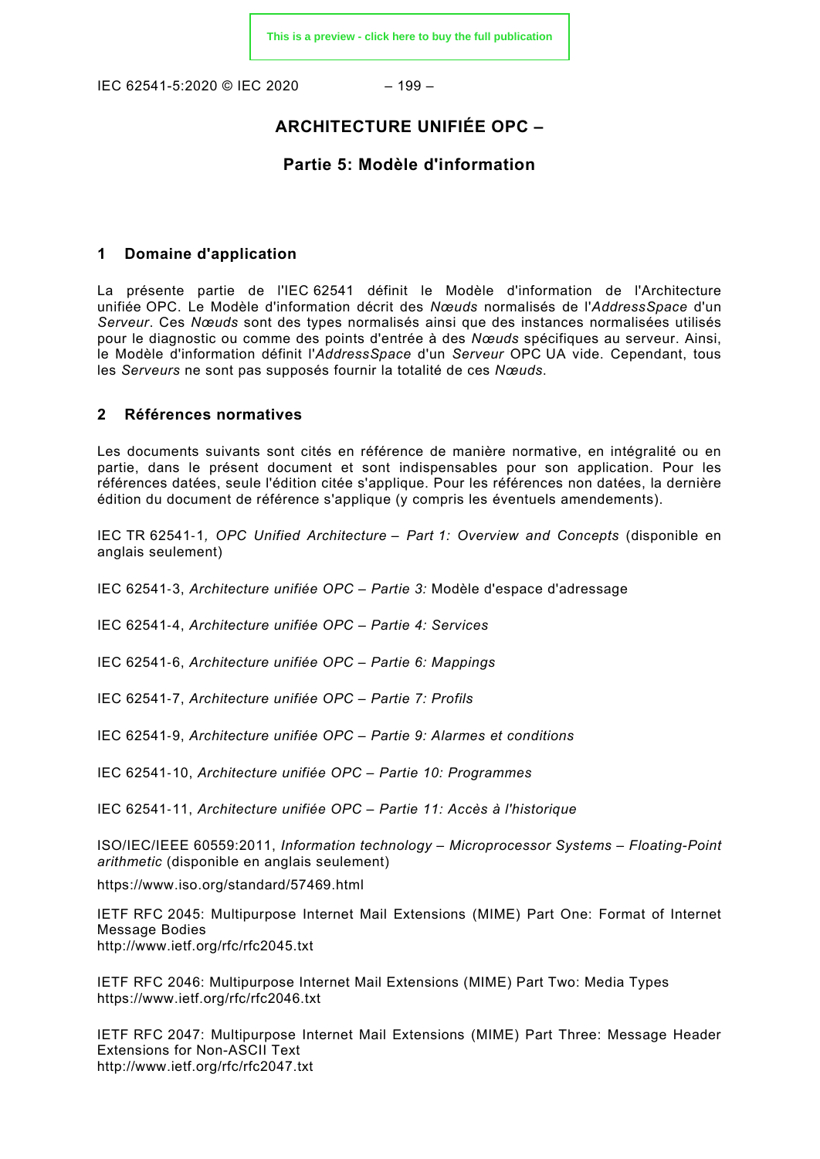IFC 62541-5:2020 © IFC 2020 – 199 –

#### **ARCHITECTURE UNIFIÉE OPC –**

#### **Partie 5: Modèle d'information**

#### <span id="page-32-0"></span>**1 Domaine d'application**

La présente partie de l'IEC 62541 définit le Modèle d'information de l'Architecture unifiée OPC. Le Modèle d'information décrit des *Nœuds* normalisés de l'*AddressSpace* d'un *Serveur*. Ces *Nœuds* sont des types normalisés ainsi que des instances normalisées utilisés pour le diagnostic ou comme des points d'entrée à des *Nœuds* spécifiques au serveur. Ainsi, le Modèle d'information définit l'*AddressSpace* d'un *Serveur* OPC UA vide. Cependant, tous les *Serveurs* ne sont pas supposés fournir la totalité de ces *Nœuds*.

#### <span id="page-32-1"></span>**2 Références normatives**

Les documents suivants sont cités en référence de manière normative, en intégralité ou en partie, dans le présent document et sont indispensables pour son application. Pour les références datées, seule l'édition citée s'applique. Pour les références non datées, la dernière édition du document de référence s'applique (y compris les éventuels amendements).

<span id="page-32-2"></span>IEC TR 62541‑1*, OPC Unified Architecture – Part 1: Overview and Concepts* (disponible en anglais seulement)

<span id="page-32-3"></span>IEC 62541‑3, *Architecture unifiée OPC – Partie 3:* Modèle d'espace d'adressage

IEC 62541‑4, *Architecture unifiée OPC – Partie 4: Services*

IEC 62541‑6, *Architecture unifiée OPC – Partie 6: Mappings*

IEC 62541‑7, *Architecture unifiée OPC – Partie 7: Profils*

IEC 62541‑9, *Architecture unifiée OPC – Partie 9: Alarmes et conditions*

IEC 62541‑10, *Architecture unifiée OPC – Partie 10: Programmes*

IEC 62541‑11, *Architecture unifiée OPC – Partie 11: Accès à l'historique*

ISO/IEC/IEEE 60559:2011, *Information technology – Microprocessor Systems – Floating-Point arithmetic* (disponible en anglais seulement)

<https://www.iso.org/standard/57469.html>

IETF RFC 2045: Multipurpose Internet Mail Extensions (MIME) Part One: Format of Internet Message Bodies <http://www.ietf.org/rfc/rfc2045.txt>

IETF RFC 2046: Multipurpose Internet Mail Extensions (MIME) Part Two: Media Types <https://www.ietf.org/rfc/rfc2046.txt>

IETF RFC 2047: Multipurpose Internet Mail Extensions (MIME) Part Three: Message Header Extensions for Non-ASCII Text <http://www.ietf.org/rfc/rfc2047.txt>